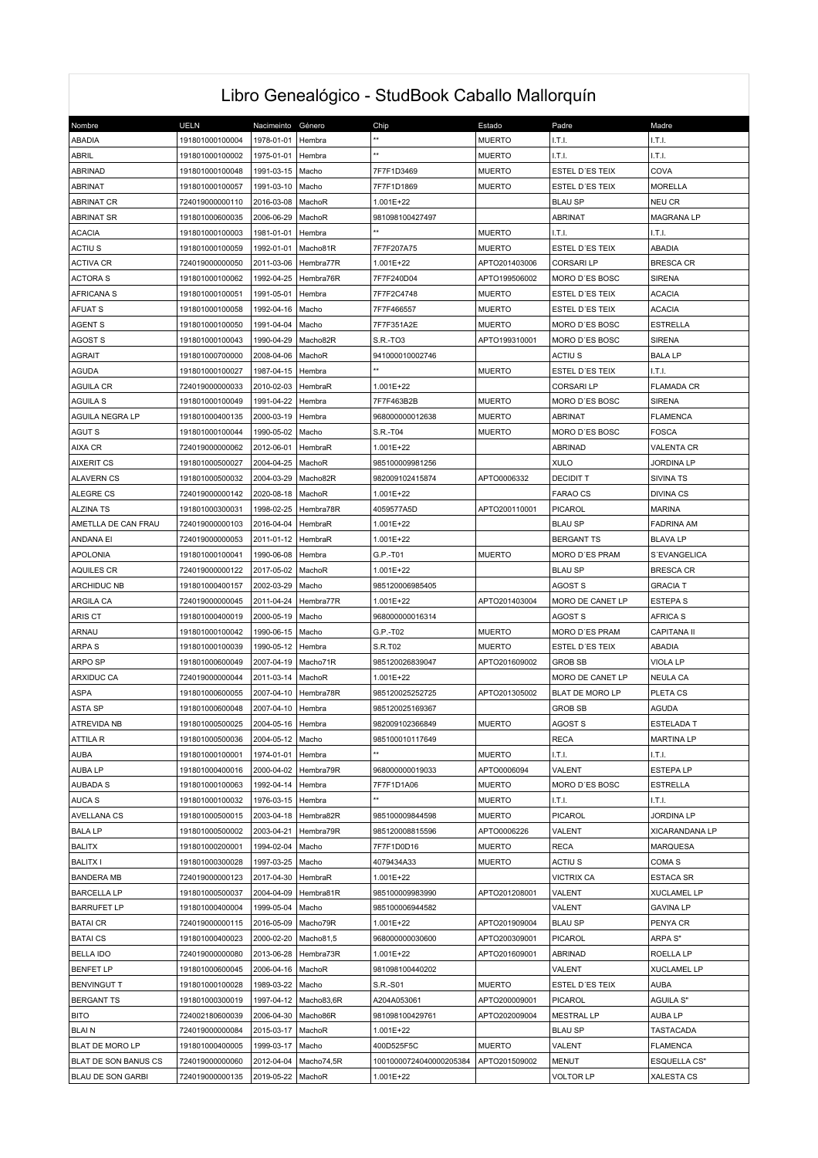## Libro Genealógico - StudBook Caballo Mallorquín

| Nombre                         | <b>UELN</b>     | Nacimeinto | Género     | Chip                            | Estado                         | Padre                     | Madre               |
|--------------------------------|-----------------|------------|------------|---------------------------------|--------------------------------|---------------------------|---------------------|
| ABADIA                         | 191801000100004 | 1978-01-01 | Hembra     | **                              | <b>MUERTO</b>                  | I.T.I.                    | LT.I.               |
| <b>ABRIL</b>                   | 191801000100002 | 1975-01-01 | Hembra     | $\star\star$                    | <b>MUERTO</b>                  | I.T.I.                    | I.T.I.              |
| <b>ABRINAD</b>                 |                 |            |            | 7F7F1D3469                      |                                | ESTEL D'ES TEIX           | COVA                |
| <b>ABRINAT</b>                 | 191801000100048 | 1991-03-15 | Macho      |                                 | <b>MUERTO</b>                  |                           | <b>MORELLA</b>      |
|                                | 191801000100057 | 1991-03-10 | Macho      | 7F7F1D1869                      | <b>MUERTO</b>                  | ESTEL D'ES TEIX           |                     |
| <b>ABRINAT CR</b>              | 724019000000110 | 2016-03-08 | MachoR     | 1.001E+22                       |                                | <b>BLAU SP</b>            | NEU CR              |
| <b>ABRINAT SR</b>              | 191801000600035 | 2006-06-29 | MachoR     | 981098100427497<br>$\star\star$ |                                | ABRINAT                   | <b>MAGRANA LP</b>   |
| <b>ACACIA</b><br><b>ACTIUS</b> | 191801000100003 | 1981-01-01 | Hembra     |                                 | <b>MUERTO</b>                  | I.T.I.<br>ESTEL D'ES TEIX | I.T.I.              |
|                                | 191801000100059 | 1992-01-01 | Macho81R   | 7F7F207A75                      | <b>MUERTO</b><br>APTO201403006 |                           | ABADIA              |
| <b>ACTIVA CR</b>               | 724019000000050 | 2011-03-06 | Hembra77R  | 1.001E+22                       | APTO199506002                  | <b>CORSARILP</b>          | <b>BRESCA CR</b>    |
| ACTORA S                       | 191801000100062 | 1992-04-25 | Hembra76R  | 7F7F240D04                      |                                | MORO D'ES BOSC            | <b>SIRENA</b>       |
| <b>AFRICANA S</b>              | 191801000100051 | 1991-05-01 | Hembra     | 7F7F2C4748                      | <b>MUERTO</b>                  | ESTEL D'ES TEIX           | <b>ACACIA</b>       |
| AFUAT S                        | 191801000100058 | 1992-04-16 | Macho      | 7F7F466557                      | <b>MUERTO</b>                  | ESTEL D'ES TEIX           | <b>ACACIA</b>       |
| <b>AGENT S</b>                 | 191801000100050 | 1991-04-04 | Macho      | 7F7F351A2E                      | <b>MUERTO</b>                  | MORO D'ES BOSC            | <b>ESTRELLA</b>     |
| <b>AGOST S</b>                 | 191801000100043 | 1990-04-29 | Macho82R   | S.R.-TO3                        | APTO199310001                  | MORO D'ES BOSC            | <b>SIRENA</b>       |
| <b>AGRAIT</b>                  | 191801000700000 | 2008-04-06 | MachoR     | 941000010002746                 |                                | ACTIU <sub>S</sub>        | <b>BALA LP</b>      |
| <b>AGUDA</b>                   | 191801000100027 | 1987-04-15 | Hembra     |                                 | <b>MUERTO</b>                  | ESTEL D'ES TEIX           | LT.I.               |
| <b>AGUILA CR</b>               | 724019000000033 | 2010-02-03 | HembraR    | 1.001E+22                       |                                | CORSARI LP                | <b>FLAMADA CR</b>   |
| <b>AGUILA S</b>                | 191801000100049 | 1991-04-22 | Hembra     | 7F7F463B2B                      | <b>MUERTO</b>                  | MORO D'ES BOSC            | <b>SIRENA</b>       |
| AGUILA NEGRA LP                | 191801000400135 | 2000-03-19 | Hembra     | 968000000012638                 | <b>MUERTO</b>                  | ABRINAT                   | <b>FLAMENCA</b>     |
| <b>AGUT S</b>                  | 191801000100044 | 1990-05-02 | Macho      | S.R.-T04                        | <b>MUERTO</b>                  | MORO D'ES BOSC            | <b>FOSCA</b>        |
| <b>AIXA CR</b>                 | 724019000000062 | 2012-06-01 | HembraR    | 1.001E+22                       |                                | <b>ABRINAD</b>            | VALENTA CR          |
| <b>AIXERIT CS</b>              | 191801000500027 | 2004-04-25 | MachoR     | 985100009981256                 |                                | <b>XULO</b>               | <b>JORDINA LP</b>   |
| <b>ALAVERN CS</b>              | 191801000500032 | 2004-03-29 | Macho82R   | 982009102415874                 | APTO0006332                    | <b>DECIDIT T</b>          | <b>SIVINA TS</b>    |
| <b>ALEGRE CS</b>               | 724019000000142 | 2020-08-18 | MachoR     | 1.001E+22                       |                                | <b>FARAO CS</b>           | <b>DIVINA CS</b>    |
| <b>ALZINA TS</b>               | 191801000300031 | 1998-02-25 | Hembra78R  | 4059577A5D                      | APTO200110001                  | PICAROL                   | <b>MARINA</b>       |
| AMETLLA DE CAN FRAU            | 724019000000103 | 2016-04-04 | HembraR    | 1.001E+22                       |                                | <b>BLAU SP</b>            | <b>FADRINA AM</b>   |
| ANDANA EI                      | 724019000000053 | 2011-01-12 | HembraR    | 1.001E+22                       |                                | <b>BERGANT TS</b>         | <b>BLAVA LP</b>     |
| <b>APOLONIA</b>                | 191801000100041 | 1990-06-08 | Hembra     | G.P.-T01                        | <b>MUERTO</b>                  | MORO D'ES PRAM            | S'EVANGELICA        |
| <b>AQUILES CR</b>              | 724019000000122 | 2017-05-02 | MachoR     | 1.001E+22                       |                                | <b>BLAU SP</b>            | <b>BRESCA CR</b>    |
| ARCHIDUC NB                    | 191801000400157 | 2002-03-29 | Macho      | 985120006985405                 |                                | AGOST S                   | <b>GRACIA T</b>     |
| ARGILA CA                      | 724019000000045 | 2011-04-24 | Hembra77R  | 1.001E+22                       | APTO201403004                  | MORO DE CANET LP          | <b>ESTEPAS</b>      |
| ARIS CT                        | 191801000400019 | 2000-05-19 | Macho      | 968000000016314                 |                                | AGOST S                   | <b>AFRICA S</b>     |
| ARNAU                          | 191801000100042 | 1990-06-15 | Macho      | G.P.-T02                        | <b>MUERTO</b>                  | MORO D'ES PRAM            | <b>CAPITANA II</b>  |
| ARPA S                         | 191801000100039 | 1990-05-12 | Hembra     | S.R.T02                         | <b>MUERTO</b>                  | ESTEL D'ES TEIX           | ABADIA              |
| ARPO SP                        | 191801000600049 | 2007-04-19 | Macho71R   | 985120026839047                 | APTO201609002                  | <b>GROB SB</b>            | VIOLA LP            |
| <b>ARXIDUC CA</b>              | 724019000000044 | 2011-03-14 | MachoR     | 1.001E+22                       |                                | MORO DE CANET LP          | <b>NEULA CA</b>     |
| <b>ASPA</b>                    | 191801000600055 | 2007-04-10 | Hembra78R  | 985120025252725                 | APTO201305002                  | BLAT DE MORO LP           | PLETA CS            |
| <b>ASTA SP</b>                 | 191801000600048 | 2007-04-10 | Hembra     | 985120025169367                 |                                | <b>GROB SB</b>            | <b>AGUDA</b>        |
| ATREVIDA NB                    | 191801000500025 | 2004-05-16 | Hembra     | 982009102366849                 | <b>MUERTO</b>                  | <b>AGOST S</b>            | <b>ESTELADA T</b>   |
| <b>ATTILA R</b>                | 191801000500036 | 2004-05-12 | Macho      | 985100010117649                 |                                | <b>RECA</b>               | <b>MARTINA LP</b>   |
| AUBA                           | 191801000100001 | 1974-01-01 | Hembra     |                                 | <b>MUERTO</b>                  | I.T.I.                    | LT.L                |
| AUBA LP                        | 191801000400016 | 2000-04-02 | Hembra79R  | 968000000019033                 | APTO0006094                    | VALENT                    | <b>ESTEPALP</b>     |
| <b>AUBADA S</b>                | 191801000100063 | 1992-04-14 | Hembra     | 7F7F1D1A06                      | <b>MUERTO</b>                  | MORO D'ES BOSC            | <b>ESTRELLA</b>     |
| AUCA S                         | 191801000100032 | 1976-03-15 | Hembra     | $\star\star$                    | <b>MUERTO</b>                  | I.T.I.                    | I.T.I.              |
| <b>AVELLANA CS</b>             | 191801000500015 | 2003-04-18 | Hembra82R  | 985100009844598                 | <b>MUERTO</b>                  | <b>PICAROL</b>            | <b>JORDINA LP</b>   |
| <b>BALA LP</b>                 | 191801000500002 | 2003-04-21 | Hembra79R  | 985120008815596                 | APTO0006226                    | VALENT                    | XICARANDANA LP      |
| BALITX                         | 191801000200001 | 1994-02-04 | Macho      | 7F7F1D0D16                      | <b>MUERTO</b>                  | RECA                      | <b>MARQUESA</b>     |
| <b>BALITX I</b>                | 191801000300028 | 1997-03-25 | Macho      | 4079434A33                      | <b>MUERTO</b>                  | ACTIU <sub>S</sub>        | COMA <sub>S</sub>   |
| <b>BANDERA MB</b>              | 724019000000123 | 2017-04-30 | HembraR    | 1.001E+22                       |                                | <b>VICTRIX CA</b>         | <b>ESTACA SR</b>    |
| <b>BARCELLA LP</b>             | 191801000500037 | 2004-04-09 | Hembra81R  | 985100009983990                 | APTO201208001                  | VALENT                    | <b>XUCLAMEL LP</b>  |
| <b>BARRUFET LP</b>             | 191801000400004 | 1999-05-04 | Macho      | 985100006944582                 |                                | VALENT                    | <b>GAVINA LP</b>    |
| <b>BATAI CR</b>                | 724019000000115 | 2016-05-09 | Macho79R   | 1.001E+22                       | APTO201909004                  | <b>BLAU SP</b>            | PENYA CR            |
| <b>BATAICS</b>                 | 191801000400023 | 2000-02-20 | Macho81,5  | 968000000030600                 | APTO200309001                  | PICAROL                   | ARPA S"             |
| <b>BELLA IDO</b>               | 724019000000080 | 2013-06-28 | Hembra73R  | 1.001E+22                       | APTO201609001                  | ABRINAD                   | ROELLA LP           |
| <b>BENFET LP</b>               | 191801000600045 | 2006-04-16 | MachoR     | 981098100440202                 |                                | VALENT                    | <b>XUCLAMEL LP</b>  |
| <b>BENVINGUT T</b>             | 191801000100028 | 1989-03-22 | Macho      | S.R.-S01                        | <b>MUERTO</b>                  | ESTEL D'ES TEIX           | <b>AUBA</b>         |
| <b>BERGANT TS</b>              | 191801000300019 | 1997-04-12 | Macho83,6R | A204A053061                     | APTO200009001                  | PICAROL                   | <b>AGUILA S"</b>    |
| <b>BITO</b>                    | 724002180600039 | 2006-04-30 | Macho86R   | 981098100429761                 | APTO202009004                  | <b>MESTRAL LP</b>         | <b>AUBALP</b>       |
| <b>BLAIN</b>                   | 724019000000084 | 2015-03-17 | MachoR     | 1.001E+22                       |                                | <b>BLAU SP</b>            | TASTACADA           |
| BLAT DE MORO LP                | 191801000400005 | 1999-03-17 | Macho      | 400D525F5C                      | <b>MUERTO</b>                  | VALENT                    | <b>FLAMENCA</b>     |
| BLAT DE SON BANUS CS           | 724019000000060 | 2012-04-04 | Macho74,5R | 10010000724040000205384         | APTO201509002                  | MENUT                     | <b>ESQUELLA CS"</b> |
| <b>BLAU DE SON GARBI</b>       | 724019000000135 | 2019-05-22 | MachoR     | 1.001E+22                       |                                | VOLTOR LP                 | XALESTA CS          |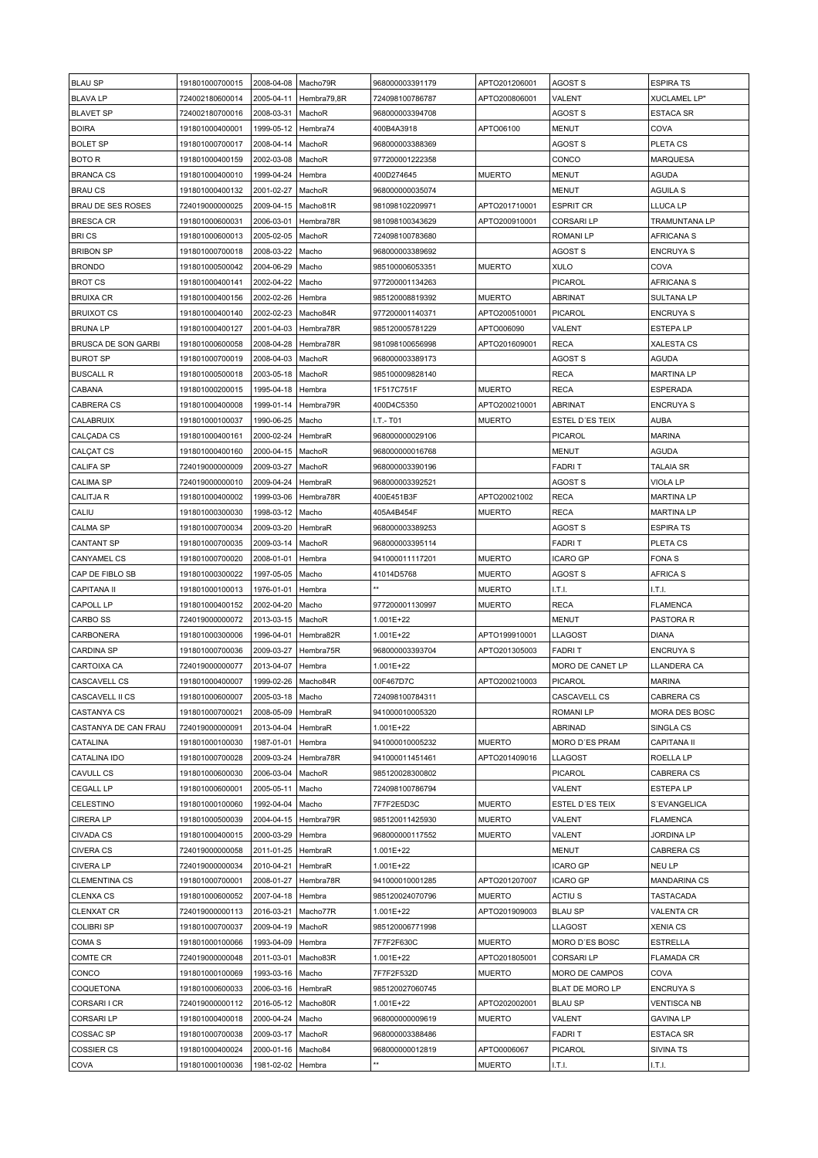| <b>BLAU SP</b>       | 191801000700015 | 2008-04-08 | Macho79R    | 968000003391179 | APTO201206001 | <b>AGOST S</b>     | <b>ESPIRA TS</b>     |
|----------------------|-----------------|------------|-------------|-----------------|---------------|--------------------|----------------------|
| <b>BLAVA LP</b>      | 724002180600014 | 2005-04-11 | Hembra79,8R | 724098100786787 | APTO200806001 | VALENT             | <b>XUCLAMEL LP"</b>  |
|                      |                 |            |             |                 |               |                    |                      |
| <b>BLAVET SP</b>     | 724002180700016 | 2008-03-31 | MachoR      | 968000003394708 |               | AGOST S            | ESTACA SR            |
| <b>BOIRA</b>         | 191801000400001 | 1999-05-12 | Hembra74    | 400B4A3918      | APTO06100     | <b>MENUT</b>       | COVA                 |
| <b>BOLET SP</b>      | 191801000700017 | 2008-04-14 | MachoR      | 968000003388369 |               | AGOST S            | PLETA CS             |
| BOTO R               | 191801000400159 | 2002-03-08 | MachoR      | 977200001222358 |               | CONCO              | <b>MARQUESA</b>      |
| <b>BRANCA CS</b>     | 191801000400010 | 1999-04-24 | Hembra      | 400D274645      | <b>MUERTO</b> | <b>MENUT</b>       | <b>AGUDA</b>         |
| <b>BRAUCS</b>        | 191801000400132 | 2001-02-27 | MachoR      | 968000000035074 |               | <b>MENUT</b>       | <b>AGUILA S</b>      |
| BRAU DE SES ROSES    | 724019000000025 | 2009-04-15 | Macho81R    | 981098102209971 | APTO201710001 | <b>ESPRIT CR</b>   | LLUCA LP             |
| <b>BRESCA CR</b>     | 191801000600031 | 2006-03-01 | Hembra78R   | 981098100343629 | APTO200910001 | <b>CORSARI LP</b>  | TRAMUNTANA LP        |
| <b>BRICS</b>         | 191801000600013 | 2005-02-05 | MachoR      | 724098100783680 |               | <b>ROMANILP</b>    | AFRICANA S           |
| <b>BRIBON SP</b>     | 191801000700018 | 2008-03-22 | Macho       | 968000003389692 |               | AGOST S            | <b>ENCRUYA S</b>     |
|                      |                 |            |             |                 |               |                    |                      |
| <b>BRONDO</b>        | 191801000500042 | 2004-06-29 | Macho       | 985100006053351 | <b>MUERTO</b> | <b>XULO</b>        | COVA                 |
| <b>BROT CS</b>       | 191801000400141 | 2002-04-22 | Macho       | 977200001134263 |               | PICAROL            | <b>AFRICANA S</b>    |
| <b>BRUIXA CR</b>     | 191801000400156 | 2002-02-26 | Hembra      | 985120008819392 | <b>MUERTO</b> | ABRINAT            | <b>SULTANA LP</b>    |
| <b>BRUIXOT CS</b>    | 191801000400140 | 2002-02-23 | Macho84R    | 977200001140371 | APTO200510001 | PICAROL            | <b>ENCRUYA S</b>     |
| <b>BRUNALP</b>       | 191801000400127 | 2001-04-03 | Hembra78R   | 985120005781229 | APTO006090    | VALENT             | <b>ESTEPALP</b>      |
| BRUSCA DE SON GARBI  | 191801000600058 | 2008-04-28 | Hembra78R   | 981098100656998 | APTO201609001 | RECA               | XALESTA CS           |
| <b>BUROT SP</b>      | 191801000700019 | 2008-04-03 | MachoR      | 968000003389173 |               | AGOST S            | <b>AGUDA</b>         |
| <b>BUSCALL R</b>     | 191801000500018 | 2003-05-18 | MachoR      | 985100009828140 |               | <b>RECA</b>        | <b>MARTINA LP</b>    |
| CABANA               | 191801000200015 | 1995-04-18 | Hembra      | 1F517C751F      | <b>MUERTO</b> | <b>RECA</b>        | <b>ESPERADA</b>      |
|                      |                 |            |             |                 |               |                    |                      |
| <b>CABRERA CS</b>    | 191801000400008 | 1999-01-14 | Hembra79R   | 400D4C5350      | APTO200210001 | <b>ABRINAT</b>     | <b>ENCRUYA S</b>     |
| CALABRUIX            | 191801000100037 | 1990-06-25 | Macho       | I.T.- T01       | <b>MUERTO</b> | ESTEL D'ES TEIX    | <b>AUBA</b>          |
| CALÇADA CS           | 191801000400161 | 2000-02-24 | HembraR     | 968000000029106 |               | PICAROL            | <b>MARINA</b>        |
| <b>CALÇAT CS</b>     | 191801000400160 | 2000-04-15 | MachoR      | 968000000016768 |               | MENUT              | <b>AGUDA</b>         |
| <b>CALIFA SP</b>     | 724019000000009 | 2009-03-27 | MachoR      | 968000003390196 |               | <b>FADRIT</b>      | <b>TALAIA SR</b>     |
| <b>CALIMA SP</b>     | 724019000000010 | 2009-04-24 | HembraR     | 968000003392521 |               | AGOST S            | VIOLA LP             |
| <b>CALITJA R</b>     | 191801000400002 | 1999-03-06 | Hembra78R   | 400E451B3F      | APTO20021002  | <b>RECA</b>        | <b>MARTINA LP</b>    |
| CALIU                | 191801000300030 | 1998-03-12 | Macho       | 405A4B454F      | <b>MUERTO</b> | <b>RECA</b>        | <b>MARTINA LP</b>    |
|                      |                 |            |             |                 |               |                    |                      |
| <b>CALMA SP</b>      | 191801000700034 | 2009-03-20 | HembraR     | 968000003389253 |               | AGOST S            | <b>ESPIRA TS</b>     |
| <b>CANTANT SP</b>    | 191801000700035 | 2009-03-14 | MachoR      | 968000003395114 |               | <b>FADRIT</b>      | PLETA CS             |
| CANYAMEL CS          | 191801000700020 | 2008-01-01 | Hembra      | 941000011117201 | <b>MUERTO</b> | <b>ICARO GP</b>    | <b>FONAS</b>         |
| CAP DE FIBLO SB      | 191801000300022 | 1997-05-05 | Macho       | 41014D5768      | <b>MUERTO</b> | AGOST S            | <b>AFRICA S</b>      |
| <b>CAPITANA II</b>   | 191801000100013 | 1976-01-01 | Hembra      |                 | <b>MUERTO</b> | LT.I.              | I.T.I.               |
| <b>CAPOLL LP</b>     | 191801000400152 | 2002-04-20 | Macho       | 977200001130997 | MUERTO        | RECA               | <b>FLAMENCA</b>      |
| <b>CARBO SS</b>      | 724019000000072 | 2013-03-15 | MachoR      | 1.001E+22       |               | <b>MENUT</b>       | PASTORA R            |
| CARBONERA            | 191801000300006 | 1996-04-01 | Hembra82R   | 1.001E+22       | APTO199910001 | LLAGOST            | <b>DIANA</b>         |
| <b>CARDINA SP</b>    | 191801000700036 | 2009-03-27 | Hembra75R   | 968000003393704 | APTO201305003 | <b>FADRIT</b>      | <b>ENCRUYA S</b>     |
| <b>CARTOIXA CA</b>   | 724019000000077 | 2013-04-07 | Hembra      | 1.001E+22       |               | MORO DE CANET LP   | LLANDERA CA          |
| <b>CASCAVELL CS</b>  | 191801000400007 | 1999-02-26 | Macho84R    | 00F467D7C       | APTO200210003 | <b>PICAROL</b>     | <b>MARINA</b>        |
|                      |                 |            |             |                 |               |                    |                      |
| CASCAVELL II CS      | 191801000600007 | 2005-03-18 | Macho       | 724098100784311 |               | CASCAVELL CS       | <b>CABRERA CS</b>    |
| <b>CASTANYA CS</b>   | 191801000700021 | 2008-05-09 | HembraR     | 941000010005320 |               | <b>ROMANILP</b>    | <b>MORA DES BOSC</b> |
| CASTANYA DE CAN FRAU | 724019000000091 | 2013-04-04 | HembraR     | 1.001E+22       |               | <b>ABRINAD</b>     | SINGLA CS            |
| CATALINA             | 191801000100030 | 1987-01-01 | Hembra      | 941000010005232 | <b>MUERTO</b> | MORO D'ES PRAM     | <b>CAPITANA II</b>   |
| CATALINA IDO         | 191801000700028 | 2009-03-24 | Hembra78R   | 941000011451461 | APTO201409016 | <b>LLAGOST</b>     | ROELLA LP            |
| CAVULL CS            | 191801000600030 | 2006-03-04 | MachoR      | 985120028300802 |               | PICAROL            | <b>CABRERA CS</b>    |
| <b>CEGALL LP</b>     | 191801000600001 | 2005-05-11 | Macho       | 724098100786794 |               | VALENT             | <b>ESTEPALP</b>      |
| CELESTINO            | 191801000100060 | 1992-04-04 | Macho       | 7F7F2E5D3C      | <b>MUERTO</b> | ESTEL D'ES TEIX    | S'EVANGELICA         |
|                      |                 |            |             |                 |               |                    |                      |
| <b>CIRERA LP</b>     | 191801000500039 | 2004-04-15 | Hembra79R   | 985120011425930 | <b>MUERTO</b> | VALENT             | <b>FLAMENCA</b>      |
| <b>CIVADA CS</b>     | 191801000400015 | 2000-03-29 | Hembra      | 968000000117552 | <b>MUERTO</b> | VALENT             | <b>JORDINA LP</b>    |
| <b>CIVERA CS</b>     | 724019000000058 | 2011-01-25 | HembraR     | 1.001E+22       |               | MENUT              | CABRERA CS           |
| <b>CIVERA LP</b>     | 724019000000034 | 2010-04-21 | HembraR     | 1.001E+22       |               | <b>ICARO GP</b>    | NEU LP               |
| <b>CLEMENTINA CS</b> | 191801000700001 | 2008-01-27 | Hembra78R   | 941000010001285 | APTO201207007 | ICARO GP           | <b>MANDARINA CS</b>  |
| <b>CLENXA CS</b>     | 191801000600052 | 2007-04-18 | Hembra      | 985120024070796 | <b>MUERTO</b> | ACTIU <sub>S</sub> | <b>TASTACADA</b>     |
| <b>CLENXAT CR</b>    | 724019000000113 | 2016-03-21 | Macho77R    | 1.001E+22       | APTO201909003 | <b>BLAU SP</b>     | <b>VALENTA CR</b>    |
| <b>COLIBRI SP</b>    | 191801000700037 | 2009-04-19 | MachoR      | 985120006771998 |               | <b>LLAGOST</b>     | <b>XENIA CS</b>      |
| COMA <sub>S</sub>    | 191801000100066 | 1993-04-09 | Hembra      | 7F7F2F630C      | <b>MUERTO</b> | MORO D'ES BOSC     | <b>ESTRELLA</b>      |
|                      |                 |            |             |                 |               |                    |                      |
| COMTE CR             | 724019000000048 | 2011-03-01 | Macho83R    | 1.001E+22       | APTO201805001 | <b>CORSARILP</b>   | <b>FLAMADA CR</b>    |
| CONCO                | 191801000100069 | 1993-03-16 | Macho       | 7F7F2F532D      | <b>MUERTO</b> | MORO DE CAMPOS     | COVA                 |
| COQUETONA            | 191801000600033 | 2006-03-16 | HembraR     | 985120027060745 |               | BLAT DE MORO LP    | <b>ENCRUYA S</b>     |
| CORSARI I CR         | 724019000000112 | 2016-05-12 | Macho80R    | 1.001E+22       | APTO202002001 | <b>BLAU SP</b>     | <b>VENTISCA NB</b>   |
| <b>CORSARILP</b>     | 191801000400018 | 2000-04-24 | Macho       | 968000000009619 | <b>MUERTO</b> | VALENT             | <b>GAVINA LP</b>     |
| COSSAC SP            | 191801000700038 | 2009-03-17 | MachoR      | 968000003388486 |               | <b>FADRIT</b>      | <b>ESTACA SR</b>     |
| <b>COSSIER CS</b>    | 191801000400024 | 2000-01-16 | Macho84     | 968000000012819 | APTO0006067   | PICAROL            | SIVINA TS            |
| COVA                 | 191801000100036 | 1981-02-02 | Hembra      |                 | <b>MUERTO</b> | LT.I.              | LT.L                 |
|                      |                 |            |             |                 |               |                    |                      |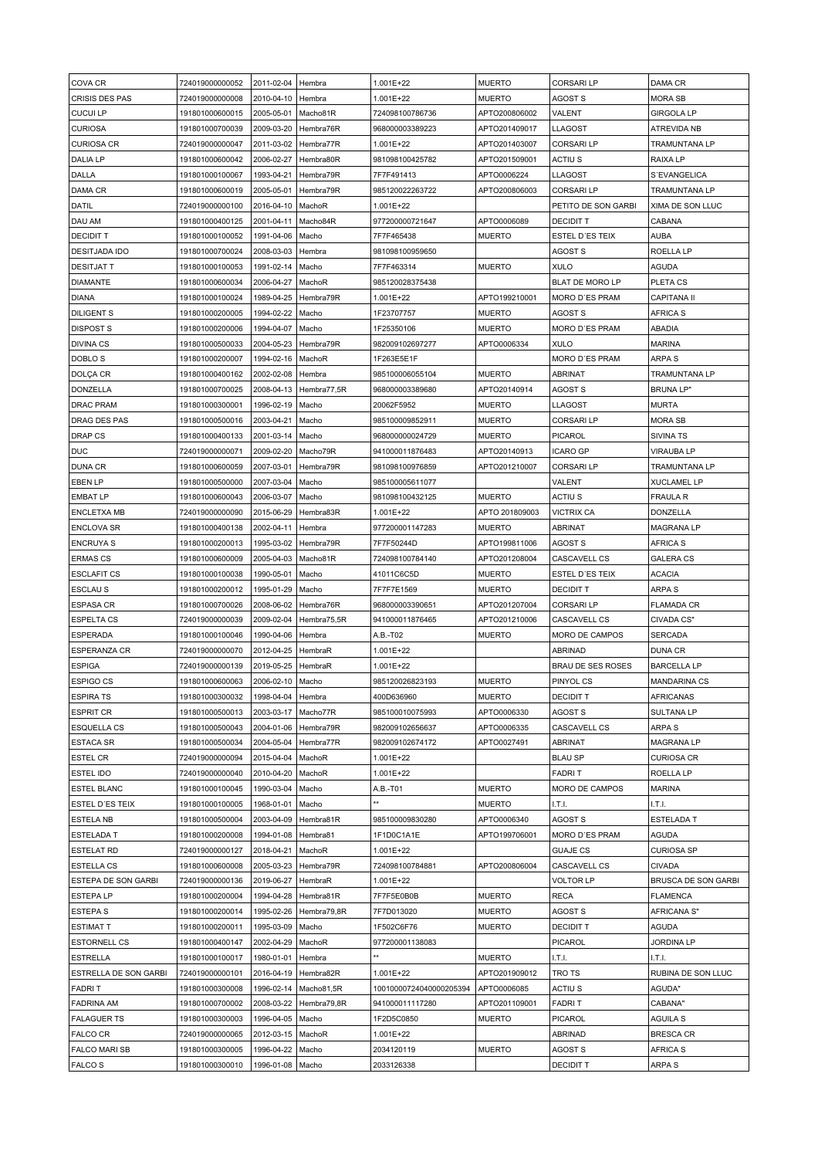| COVA CR               | 724019000000052 | 2011-02-04 | Hembra      | 1.001E+22               | <b>MUERTO</b>  | <b>CORSARILP</b>    | DAMA CR              |
|-----------------------|-----------------|------------|-------------|-------------------------|----------------|---------------------|----------------------|
| CRISIS DES PAS        | 724019000000008 | 2010-04-10 | Hembra      | 1.001E+22               | <b>MUERTO</b>  | AGOST S             | <b>MORA SB</b>       |
| <b>CUCUI LP</b>       | 191801000600015 | 2005-05-01 | Macho81R    | 724098100786736         | APTO200806002  | VALENT              | <b>GIRGOLA LP</b>    |
| <b>CURIOSA</b>        | 191801000700039 | 2009-03-20 | Hembra76R   | 968000003389223         | APTO201409017  | LLAGOST             | <b>ATREVIDA NB</b>   |
| <b>CURIOSA CR</b>     | 724019000000047 | 2011-03-02 | Hembra77R   | 1.001E+22               | APTO201403007  | CORSARI LP          | <b>TRAMUNTANA LP</b> |
| <b>DALIA LP</b>       | 191801000600042 | 2006-02-27 | Hembra80R   | 981098100425782         | APTO201509001  | <b>ACTIUS</b>       | <b>RAIXA LP</b>      |
|                       |                 |            |             |                         |                |                     |                      |
| DALLA                 | 191801000100067 | 1993-04-21 | Hembra79R   | 7F7F491413              | APTO0006224    | LLAGOST             | S'EVANGELICA         |
| DAMA CR               | 191801000600019 | 2005-05-01 | Hembra79R   | 985120022263722         | APTO200806003  | CORSARI LP          | <b>TRAMUNTANA LP</b> |
| DATIL                 | 724019000000100 | 2016-04-10 | MachoR      | 1.001E+22               |                | PETITO DE SON GARBI | XIMA DE SON LLUC     |
| DAU AM                | 191801000400125 | 2001-04-11 | Macho84R    | 977200000721647         | APTO0006089    | <b>DECIDIT T</b>    | CABANA               |
| <b>DECIDIT T</b>      | 191801000100052 | 1991-04-06 | Macho       | 7F7F465438              | <b>MUERTO</b>  | ESTEL D'ES TEIX     | <b>AUBA</b>          |
| <b>DESITJADA IDO</b>  | 191801000700024 | 2008-03-03 | Hembra      | 981098100959650         |                | AGOST S             | ROELLA LP            |
| <b>DESITJAT T</b>     | 191801000100053 | 1991-02-14 | Macho       | 7F7F463314              | <b>MUERTO</b>  | <b>XULO</b>         | <b>AGUDA</b>         |
| <b>DIAMANTE</b>       | 191801000600034 | 2006-04-27 | MachoR      | 985120028375438         |                | BLAT DE MORO LP     | PLETA CS             |
| <b>DIANA</b>          | 191801000100024 | 1989-04-25 | Hembra79R   | 1.001E+22               | APTO199210001  | MORO D'ES PRAM      | <b>CAPITANA II</b>   |
| <b>DILIGENT S</b>     | 191801000200005 | 1994-02-22 | Macho       | 1F23707757              | <b>MUERTO</b>  | AGOST S             | <b>AFRICA S</b>      |
| <b>DISPOST S</b>      | 191801000200006 | 1994-04-07 | Macho       | 1F25350106              | <b>MUERTO</b>  | MORO D'ES PRAM      | ABADIA               |
| <b>DIVINA CS</b>      | 191801000500033 | 2004-05-23 | Hembra79R   | 982009102697277         | APTO0006334    | XULO                | <b>MARINA</b>        |
| DOBLO <sub>S</sub>    | 191801000200007 | 1994-02-16 | MachoR      | 1F263E5E1F              |                | MORO D'ES PRAM      | <b>ARPA S</b>        |
| DOLÇA CR              | 191801000400162 | 2002-02-08 | Hembra      | 985100006055104         | <b>MUERTO</b>  | <b>ABRINAT</b>      | TRAMUNTANA LP        |
| DONZELLA              | 191801000700025 | 2008-04-13 | Hembra77,5R | 968000003389680         | APTO20140914   | <b>AGOST S</b>      | <b>BRUNA LP"</b>     |
| <b>DRAC PRAM</b>      | 191801000300001 | 1996-02-19 | Macho       | 20062F5952              | <b>MUERTO</b>  | LLAGOST             | <b>MURTA</b>         |
| DRAG DES PAS          | 191801000500016 | 2003-04-21 | Macho       | 985100009852911         | <b>MUERTO</b>  | <b>CORSARI LP</b>   | <b>MORA SB</b>       |
|                       |                 |            |             |                         |                | PICAROL             |                      |
| <b>DRAP CS</b>        | 191801000400133 | 2001-03-14 | Macho       | 968000000024729         | <b>MUERTO</b>  |                     | <b>SIVINA TS</b>     |
| <b>DUC</b>            | 724019000000071 | 2009-02-20 | Macho79R    | 941000011876483         | APTO20140913   | ICARO GP            | <b>VIRAUBA LP</b>    |
| <b>DUNA CR</b>        | 191801000600059 | 2007-03-01 | Hembra79R   | 981098100976859         | APTO201210007  | CORSARI LP          | TRAMUNTANA LP        |
| EBEN LP               | 191801000500000 | 2007-03-04 | Macho       | 985100005611077         |                | VALENT              | <b>XUCLAMEL LP</b>   |
| <b>EMBAT LP</b>       | 191801000600043 | 2006-03-07 | Macho       | 981098100432125         | <b>MUERTO</b>  | ACTIU <sub>S</sub>  | <b>FRAULA R</b>      |
| <b>ENCLETXA MB</b>    | 724019000000090 | 2015-06-29 | Hembra83R   | 1.001E+22               | APTO 201809003 | <b>VICTRIX CA</b>   | DONZELLA             |
| <b>ENCLOVA SR</b>     | 191801000400138 | 2002-04-11 | Hembra      | 977200001147283         | <b>MUERTO</b>  | ABRINAT             | <b>MAGRANA LP</b>    |
| <b>ENCRUYA S</b>      | 191801000200013 | 1995-03-02 | Hembra79R   | 7F7F50244D              | APTO199811006  | AGOST S             | <b>AFRICA S</b>      |
| <b>ERMAS CS</b>       | 191801000600009 | 2005-04-03 | Macho81R    | 724098100784140         | APTO201208004  | CASCAVELL CS        | <b>GALERA CS</b>     |
| <b>ESCLAFIT CS</b>    | 191801000100038 | 1990-05-01 | Macho       | 41011C6C5D              | <b>MUERTO</b>  | ESTEL D'ES TEIX     | <b>ACACIA</b>        |
| <b>ESCLAUS</b>        | 191801000200012 | 1995-01-29 | Macho       | 7F7F7E1569              | <b>MUERTO</b>  | <b>DECIDIT T</b>    | ARPA S               |
| <b>ESPASA CR</b>      | 191801000700026 | 2008-06-02 | Hembra76R   | 968000003390651         | APTO201207004  | <b>CORSARILP</b>    | <b>FLAMADA CR</b>    |
| <b>ESPELTA CS</b>     | 724019000000039 | 2009-02-04 | Hembra75,5R | 941000011876465         | APTO201210006  | CASCAVELL CS        | CIVADA CS"           |
| <b>ESPERADA</b>       | 191801000100046 | 1990-04-06 | Hembra      | A.B.-T02                | <b>MUERTO</b>  | MORO DE CAMPOS      | <b>SERCADA</b>       |
| ESPERANZA CR          | 724019000000070 | 2012-04-25 | HembraR     | 1.001E+22               |                | <b>ABRINAD</b>      | <b>DUNA CR</b>       |
| <b>ESPIGA</b>         | 724019000000139 | 2019-05-25 | HembraR     | 1.001E+22               |                | BRAU DE SES ROSES   | <b>BARCELLA LP</b>   |
| <b>ESPIGO CS</b>      | 191801000600063 | 2006-02-10 | Macho       | 985120026823193         | <b>MUERTO</b>  | PINYOL CS           | <b>MANDARINA CS</b>  |
| <b>ESPIRA TS</b>      | 191801000300032 | 1998-04-04 | Hembra      | 400D636960              | <b>MUERTO</b>  | <b>DECIDIT T</b>    | <b>AFRICANAS</b>     |
| <b>ESPRIT CR</b>      | 191801000500013 |            |             |                         |                |                     |                      |
|                       |                 | 2003-03-17 | Macho77R    | 985100010075993         | APTO0006330    | <b>AGOST S</b>      | <b>SULTANA LP</b>    |
| <b>ESQUELLA CS</b>    | 191801000500043 | 2004-01-06 | Hembra79R   | 982009102656637         | APTO0006335    | CASCAVELL CS        | ARPA S               |
| <b>ESTACA SR</b>      | 191801000500034 | 2004-05-04 | Hembra77R   | 982009102674172         | APTO0027491    | <b>ABRINAT</b>      | <b>MAGRANA LP</b>    |
| <b>ESTEL CR</b>       | 724019000000094 | 2015-04-04 | MachoR      | 1.001E+22               |                | <b>BLAU SP</b>      | <b>CURIOSA CR</b>    |
| ESTEL IDO             | 724019000000040 | 2010-04-20 | MachoR      | 1.001E+22               |                | FADRI T             | ROELLA LP            |
| <b>ESTEL BLANC</b>    | 191801000100045 | 1990-03-04 | Macho       | A.B.-T01                | <b>MUERTO</b>  | MORO DE CAMPOS      | <b>MARINA</b>        |
| ESTEL D'ES TEIX       | 191801000100005 | 1968-01-01 | Macho       | $\star\star$            | <b>MUERTO</b>  | I.T.I.              | LT.L                 |
| ESTELA NB             | 191801000500004 | 2003-04-09 | Hembra81R   | 985100009830280         | APTO0006340    | <b>AGOST S</b>      | <b>ESTELADA T</b>    |
| ESTELADA T            | 191801000200008 | 1994-01-08 | Hembra81    | 1F1D0C1A1E              | APTO199706001  | MORO D'ES PRAM      | AGUDA                |
| <b>ESTELAT RD</b>     | 724019000000127 | 2018-04-21 | MachoR      | 1.001E+22               |                | <b>GUAJE CS</b>     | <b>CURIOSA SP</b>    |
| <b>ESTELLA CS</b>     | 191801000600008 | 2005-03-23 | Hembra79R   | 724098100784881         | APTO200806004  | CASCAVELL CS        | <b>CIVADA</b>        |
| ESTEPA DE SON GARBI   | 724019000000136 | 2019-06-27 | HembraR     | 1.001E+22               |                | VOLTOR LP           | BRUSCA DE SON GARBI  |
| <b>ESTEPA LP</b>      | 191801000200004 | 1994-04-28 | Hembra81R   | 7F7F5E0B0B              | <b>MUERTO</b>  | RECA                | <b>FLAMENCA</b>      |
| <b>ESTEPA S</b>       | 191801000200014 | 1995-02-26 | Hembra79,8R | 7F7D013020              | <b>MUERTO</b>  | <b>AGOST S</b>      | AFRICANA S"          |
| <b>ESTIMAT T</b>      | 191801000200011 | 1995-03-09 | Macho       | 1F502C6F76              | <b>MUERTO</b>  | <b>DECIDIT T</b>    | AGUDA                |
| <b>ESTORNELL CS</b>   | 191801000400147 | 2002-04-29 | MachoR      | 977200001138083         |                | PICAROL             | <b>JORDINA LP</b>    |
| <b>ESTRELLA</b>       | 191801000100017 | 1980-01-01 | Hembra      | $\star\star$            | <b>MUERTO</b>  | I.T.I.              | I.T.I.               |
| ESTRELLA DE SON GARBI | 724019000000101 | 2016-04-19 | Hembra82R   | 1.001E+22               | APTO201909012  | TRO TS              | RUBINA DE SON LLUC   |
| <b>FADRIT</b>         | 191801000300008 | 1996-02-14 | Macho81,5R  | 10010000724040000205394 | APTO0006085    | ACTIU S             | AGUDA"               |
| <b>FADRINA AM</b>     | 191801000700002 | 2008-03-22 | Hembra79,8R | 941000011117280         | APTO201109001  | FADRI T             | CABANA"              |
| <b>FALAGUER TS</b>    | 191801000300003 |            |             | 1F2D5C0850              | <b>MUERTO</b>  | PICAROL             | <b>AGUILA S</b>      |
|                       |                 | 1996-04-05 | Macho       |                         |                |                     |                      |
| FALCO CR              | 724019000000065 | 2012-03-15 | MachoR      | 1.001E+22               |                | <b>ABRINAD</b>      | <b>BRESCA CR</b>     |
| <b>FALCO MARI SB</b>  | 191801000300005 | 1996-04-22 | Macho       | 2034120119              | <b>MUERTO</b>  | <b>AGOST S</b>      | AFRICA S             |
| <b>FALCOS</b>         | 191801000300010 | 1996-01-08 | Macho       | 2033126338              |                | <b>DECIDIT T</b>    | ARPA S               |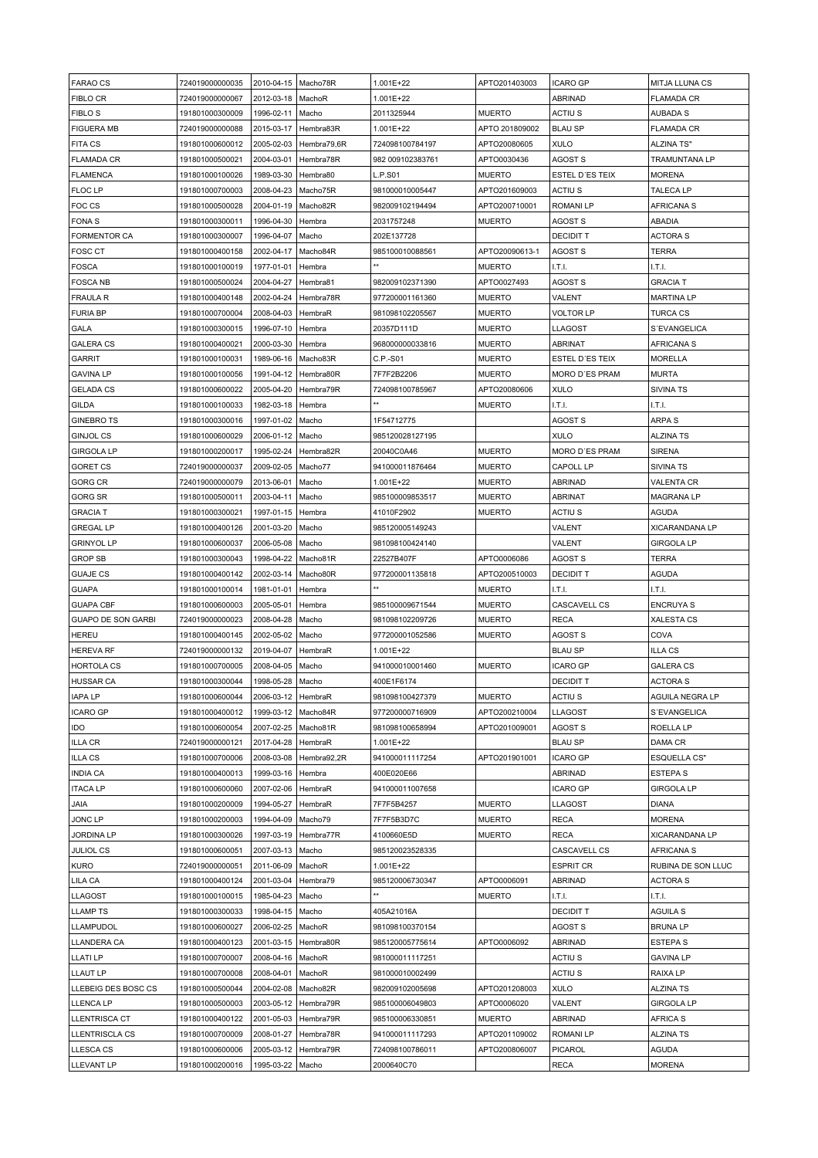| <b>FARAO CS</b>           | 724019000000035 | 2010-04-15   Macho78R |             | 1.001E+22        | APTO201403003  | <b>ICARO GP</b>  | <b>MITJA LLUNA CS</b> |
|---------------------------|-----------------|-----------------------|-------------|------------------|----------------|------------------|-----------------------|
| FIBLO CR                  | 724019000000067 | 2012-03-18            | MachoR      | 1.001E+22        |                | ABRINAD          | <b>FLAMADA CR</b>     |
| <b>FIBLO S</b>            | 191801000300009 | 1996-02-11            | Macho       | 2011325944       | MUERTO         | ACTIU S          | AUBADA S              |
|                           |                 |                       |             |                  |                |                  |                       |
| <b>FIGUERA MB</b>         | 724019000000088 | 2015-03-17            | Hembra83R   | 1.001E+22        | APTO 201809002 | <b>BLAU SP</b>   | <b>FLAMADA CR</b>     |
| <b>FITA CS</b>            | 191801000600012 | 2005-02-03            | Hembra79,6R | 724098100784197  | APTO20080605   | <b>XULO</b>      | <b>ALZINA TS"</b>     |
| <b>FLAMADA CR</b>         | 191801000500021 | 2004-03-01            | Hembra78R   | 982 009102383761 | APTO0030436    | AGOST S          | <b>TRAMUNTANA LP</b>  |
| FLAMENCA                  | 191801000100026 | 1989-03-30            | Hembra80    | L.P.S01          | <b>MUERTO</b>  | ESTEL D'ES TEIX  | <b>MORENA</b>         |
| FLOC LP                   | 191801000700003 | 2008-04-23            | Macho75R    | 981000010005447  | APTO201609003  | ACTIU S          | <b>TALECA LP</b>      |
| FOC CS                    | 191801000500028 | 2004-01-19            | Macho82R    | 982009102194494  | APTO200710001  | <b>ROMANILP</b>  | AFRICANA S            |
| FONA <sub>S</sub>         | 191801000300011 | 1996-04-30            | Hembra      | 2031757248       | <b>MUERTO</b>  | AGOST S          | <b>ABADIA</b>         |
| <b>FORMENTOR CA</b>       | 191801000300007 | 1996-04-07            | Macho       | 202E137728       |                | <b>DECIDIT T</b> | <b>ACTORA S</b>       |
| <b>FOSC CT</b>            | 191801000400158 | 2002-04-17            | Macho84R    | 985100010088561  | APTO20090613-1 | AGOST S          | <b>TERRA</b>          |
| <b>FOSCA</b>              | 191801000100019 | 1977-01-01            | Hembra      |                  | <b>MUERTO</b>  | LT.L             | LT.L                  |
| <b>FOSCA NB</b>           | 191801000500024 | 2004-04-27            | Hembra81    | 982009102371390  | APTO0027493    | AGOST S          | <b>GRACIA T</b>       |
| FRAULA R                  | 191801000400148 | 2002-04-24            | Hembra78R   | 977200001161360  | <b>MUERTO</b>  | VALENT           | <b>MARTINA LP</b>     |
| <b>FURIA BP</b>           | 191801000700004 | 2008-04-03            | HembraR     | 981098102205567  | <b>MUERTO</b>  | VOLTOR LP        | <b>TURCA CS</b>       |
| GALA                      | 191801000300015 | 1996-07-10            | Hembra      | 20357D111D       | <b>MUERTO</b>  | LLAGOST          | S'EVANGELICA          |
|                           |                 |                       |             |                  | <b>MUERTO</b>  | <b>ABRINAT</b>   | <b>AFRICANA S</b>     |
| <b>GALERA CS</b>          | 191801000400021 | 2000-03-30            | Hembra      | 968000000033816  |                |                  |                       |
| <b>GARRIT</b>             | 191801000100031 | 1989-06-16            | Macho83R    | C.P.-S01         | <b>MUERTO</b>  | ESTEL D'ES TEIX  | MORELLA               |
| <b>GAVINA LP</b>          | 191801000100056 | 1991-04-12            | Hembra80R   | 7F7F2B2206       | <b>MUERTO</b>  | MORO D'ES PRAM   | <b>MURTA</b>          |
| <b>GELADA CS</b>          | 191801000600022 | 2005-04-20            | Hembra79R   | 724098100785967  | APTO20080606   | <b>XULO</b>      | <b>SIVINA TS</b>      |
| <b>GILDA</b>              | 191801000100033 | 1982-03-18            | Hembra      | **               | <b>MUERTO</b>  | LT.L             | I.T.I.                |
| <b>GINEBRO TS</b>         | 191801000300016 | 1997-01-02            | Macho       | 1F54712775       |                | AGOST S          | ARPA S                |
| <b>GINJOL CS</b>          | 191801000600029 | 2006-01-12            | Macho       | 985120028127195  |                | <b>XULO</b>      | ALZINA TS             |
| <b>GIRGOLA LP</b>         | 191801000200017 | 1995-02-24            | Hembra82R   | 20040C0A46       | <b>MUERTO</b>  | MORO D'ES PRAM   | <b>SIRENA</b>         |
| <b>GORET CS</b>           | 724019000000037 | 2009-02-05            | Macho77     | 941000011876464  | <b>MUERTO</b>  | CAPOLL LP        | <b>SIVINA TS</b>      |
| <b>GORG CR</b>            | 724019000000079 | 2013-06-01            | Macho       | 1.001E+22        | <b>MUERTO</b>  | <b>ABRINAD</b>   | VALENTA CR            |
| GORG SR                   | 191801000500011 | 2003-04-11            | Macho       | 985100009853517  | <b>MUERTO</b>  | ABRINAT          | MAGRANA LP            |
| <b>GRACIA T</b>           | 191801000300021 | 1997-01-15            | Hembra      | 41010F2902       | <b>MUERTO</b>  | ACTIU S          | <b>AGUDA</b>          |
|                           |                 |                       |             |                  |                |                  |                       |
| <b>GREGAL LP</b>          | 191801000400126 | 2001-03-20            | Macho       | 985120005149243  |                | VALENT           | XICARANDANA LP        |
| <b>GRINYOL LP</b>         | 191801000600037 | 2006-05-08            | Macho       | 981098100424140  |                | VALENT           | GIRGOLA LP            |
| <b>GROP SB</b>            | 191801000300043 | 1998-04-22            | Macho81R    | 22527B407F       | APTO0006086    | AGOST S          | <b>TERRA</b>          |
| <b>GUAJE CS</b>           | 191801000400142 | 2002-03-14            | Macho80R    | 977200001135818  | APTO200510003  | <b>DECIDIT T</b> | <b>AGUDA</b>          |
| <b>GUAPA</b>              | 191801000100014 | 1981-01-01            | Hembra      | **               | <b>MUERTO</b>  | I.T.I.           | LT.L                  |
| <b>GUAPA CBF</b>          | 191801000600003 | 2005-05-01            | Hembra      | 985100009671544  | <b>MUERTO</b>  | CASCAVELL CS     | <b>ENCRUYA S</b>      |
| <b>GUAPO DE SON GARBI</b> | 724019000000023 | 2008-04-28            | Macho       | 981098102209726  | <b>MUERTO</b>  | <b>RECA</b>      | <b>XALESTA CS</b>     |
| HEREU                     | 191801000400145 | 2002-05-02            | Macho       | 977200001052586  | <b>MUERTO</b>  | AGOST S          | COVA                  |
| HEREVA RF                 | 724019000000132 | 2019-04-07            | HembraR     | 1.001E+22        |                | <b>BLAU SP</b>   | ILLA CS               |
| HORTOLA CS                | 191801000700005 | 2008-04-05            | Macho       | 941000010001460  | <b>MUERTO</b>  | ICARO GP         | <b>GALERA CS</b>      |
| <b>HUSSAR CA</b>          | 191801000300044 | 1998-05-28            | Macho       | 400E1F6174       |                | <b>DECIDIT T</b> | <b>ACTORA S</b>       |
| <b>IAPA LP</b>            | 191801000600044 | 2006-03-12   HembraR  |             | 981098100427379  | <b>MUERTO</b>  | <b>ACTIUS</b>    | AGUILA NEGRA LP       |
| <b>ICARO GP</b>           | 191801000400012 | 1999-03-12            | Macho84R    | 977200000716909  | APTO200210004  | LLAGOST          | S'EVANGELICA          |
| IDO                       | 191801000600054 | 2007-02-25            | Macho81R    | 981098100658994  | APTO201009001  | AGOST S          | ROELLA LP             |
|                           |                 |                       |             |                  |                |                  |                       |
| <b>ILLA CR</b>            | 724019000000121 | 2017-04-28            | HembraR     | 1.001E+22        |                | <b>BLAU SP</b>   | DAMA CR               |
| <b>ILLA CS</b>            | 191801000700006 | 2008-03-08            | Hembra92,2R | 941000011117254  | APTO201901001  | ICARO GP         | <b>ESQUELLA CS"</b>   |
| <b>INDIA CA</b>           | 191801000400013 | 1999-03-16            | Hembra      | 400E020E66       |                | ABRINAD          | ESTEPA S              |
| <b>ITACA LP</b>           | 191801000600060 | 2007-02-06            | HembraR     | 941000011007658  |                | <b>ICARO GP</b>  | <b>GIRGOLA LP</b>     |
| AIAL                      | 191801000200009 | 1994-05-27            | HembraR     | 7F7F5B4257       | <b>MUERTO</b>  | LLAGOST          | <b>DIANA</b>          |
| JONC LP                   | 191801000200003 | 1994-04-09            | Macho79     | 7F7F5B3D7C       | <b>MUERTO</b>  | <b>RECA</b>      | <b>MORENA</b>         |
| <b>JORDINA LP</b>         | 191801000300026 | 1997-03-19            | Hembra77R   | 4100660E5D       | <b>MUERTO</b>  | <b>RECA</b>      | XICARANDANA LP        |
| <b>JULIOL CS</b>          | 191801000600051 | 2007-03-13            | Macho       | 985120023528335  |                | CASCAVELL CS     | AFRICANA S            |
| <b>KURO</b>               | 724019000000051 | 2011-06-09            | MachoR      | 1.001E+22        |                | ESPRIT CR        | RUBINA DE SON LLUC    |
| LILA CA                   | 191801000400124 | 2001-03-04            | Hembra79    | 985120006730347  | APTO0006091    | ABRINAD          | <b>ACTORA S</b>       |
| LLAGOST                   | 191801000100015 | 1985-04-23            | Macho       |                  | <b>MUERTO</b>  | I.T.I.           | LT.L                  |
| <b>LLAMP TS</b>           | 191801000300033 | 1998-04-15            | Macho       | 405A21016A       |                | <b>DECIDIT T</b> | AGUILA S              |
| LLAMPUDOL                 | 191801000600027 | 2006-02-25            | MachoR      | 981098100370154  |                | <b>AGOST S</b>   | <b>BRUNALP</b>        |
|                           |                 |                       |             |                  |                |                  |                       |
| LLANDERA CA               | 191801000400123 | 2001-03-15            | Hembra80R   | 985120005775614  | APTO0006092    | <b>ABRINAD</b>   | ESTEPA S              |
| LLATI LP                  | 191801000700007 | 2008-04-16            | MachoR      | 981000011117251  |                | ACTIU S          | <b>GAVINA LP</b>      |
| <b>LLAUT LP</b>           | 191801000700008 | 2008-04-01            | MachoR      | 981000010002499  |                | ACTIU S          | RAIXA LP              |
| LLEBEIG DES BOSC CS       | 191801000500044 | 2004-02-08            | Macho82R    | 982009102005698  | APTO201208003  | <b>XULO</b>      | ALZINA TS             |
| <b>LLENCA LP</b>          | 191801000500003 | 2003-05-12            | Hembra79R   | 985100006049803  | APTO0006020    | VALENT           | <b>GIRGOLA LP</b>     |
| LLENTRISCA CT             | 191801000400122 | 2001-05-03            | Hembra79R   | 985100006330851  | <b>MUERTO</b>  | <b>ABRINAD</b>   | <b>AFRICA S</b>       |
| LLENTRISCLA CS            | 191801000700009 | 2008-01-27            | Hembra78R   | 941000011117293  | APTO201109002  | <b>ROMANILP</b>  | <b>ALZINA TS</b>      |
| LLESCA CS                 | 191801000600006 | 2005-03-12            | Hembra79R   | 724098100786011  | APTO200806007  | PICAROL          | <b>AGUDA</b>          |
| LLEVANT LP                | 191801000200016 | 1995-03-22            | Macho       | 2000640C70       |                | RECA             | <b>MORENA</b>         |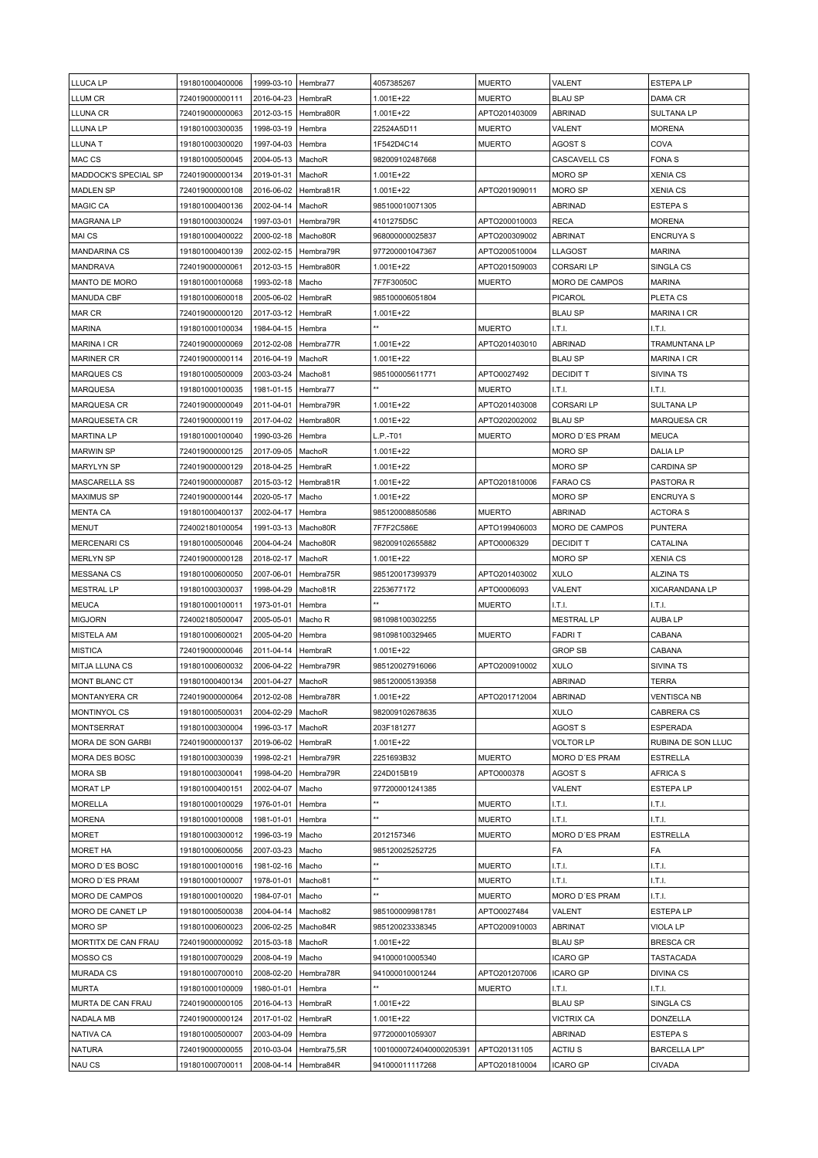| LLUCA LP                | 191801000400006                    | 1999-03-10               | Hembra77                 | 4057385267                                 | <b>MUERTO</b>                 | VALENT                     | <b>ESTEPALP</b>                      |
|-------------------------|------------------------------------|--------------------------|--------------------------|--------------------------------------------|-------------------------------|----------------------------|--------------------------------------|
| LLUM CR                 |                                    |                          | HembraR                  | 1.001E+22                                  |                               | <b>BLAU SP</b>             |                                      |
|                         | 724019000000111                    | 2016-04-23               |                          |                                            | <b>MUERTO</b>                 |                            | DAMA CR                              |
| LLUNA CR                | 724019000000063                    | 2012-03-15               | Hembra80R                | 1.001E+22                                  | APTO201403009                 | <b>ABRINAD</b>             | <b>SULTANALP</b>                     |
| LLUNA LP                | 191801000300035                    | 1998-03-19               | Hembra                   | 22524A5D11                                 | <b>MUERTO</b>                 | VALENT                     | <b>MORENA</b>                        |
| LLUNA T                 | 191801000300020                    | 1997-04-03               | Hembra                   | 1F542D4C14                                 | <b>MUERTO</b>                 | AGOST S                    | COVA                                 |
| MAC CS                  | 191801000500045                    | 2004-05-13               | MachoR                   | 982009102487668                            |                               | <b>CASCAVELL CS</b>        | <b>FONAS</b>                         |
| MADDOCK'S SPECIAL SP    | 724019000000134                    | 2019-01-31               | MachoR                   | 1.001E+22                                  |                               | <b>MORO SP</b>             | <b>XENIA CS</b>                      |
| <b>MADLEN SP</b>        | 724019000000108                    | 2016-06-02               | Hembra81R                | 1.001E+22                                  | APTO201909011                 | MORO SP                    | <b>XENIA CS</b>                      |
| MAGIC CA                | 191801000400136                    | 2002-04-14               | MachoR                   | 985100010071305                            |                               | ABRINAD                    | <b>ESTEPAS</b>                       |
| <b>MAGRANA LP</b>       | 191801000300024                    | 1997-03-01               | Hembra79R                | 4101275D5C                                 | APTO200010003                 | RECA                       | <b>MORENA</b>                        |
| MAI CS                  | 191801000400022                    | 2000-02-18               | Macho80R                 | 968000000025837                            | APTO200309002                 | <b>ABRINAT</b>             | <b>ENCRUYA S</b>                     |
| <b>MANDARINA CS</b>     | 191801000400139                    | 2002-02-15               | Hembra79R                | 977200001047367                            | APTO200510004                 | LLAGOST                    | <b>MARINA</b>                        |
|                         |                                    |                          |                          |                                            | APTO201509003                 | <b>CORSARILP</b>           |                                      |
| <b>MANDRAVA</b>         | 724019000000061                    | 2012-03-15               | Hembra80R                | 1.001E+22                                  |                               |                            | SINGLA CS                            |
| MANTO DE MORO           | 191801000100068                    | 1993-02-18               | Macho                    | 7F7F30050C                                 | <b>MUERTO</b>                 | MORO DE CAMPOS             | <b>MARINA</b>                        |
| <b>MANUDA CBF</b>       | 191801000600018                    | 2005-06-02               | HembraR                  | 985100006051804                            |                               | PICAROL                    | PLETA CS                             |
| MAR CR                  | 724019000000120                    | 2017-03-12               | HembraR                  | 1.001E+22                                  |                               | <b>BLAU SP</b>             | <b>MARINA I CR</b>                   |
| <b>MARINA</b>           | 191801000100034                    | 1984-04-15               | Hembra                   |                                            | <b>MUERTO</b>                 | I.T.I.                     | LT.I.                                |
| MARINA I CR             | 724019000000069                    | 2012-02-08               | Hembra77R                | 1.001E+22                                  | APTO201403010                 | <b>ABRINAD</b>             | <b>TRAMUNTANA LP</b>                 |
| <b>MARINER CR</b>       | 724019000000114                    | 2016-04-19               | MachoR                   | 1.001E+22                                  |                               | <b>BLAU SP</b>             | <b>MARINA I CR</b>                   |
| <b>MARQUES CS</b>       | 191801000500009                    | 2003-03-24               | Macho81                  | 985100005611771                            | APTO0027492                   | <b>DECIDIT T</b>           | <b>SIVINA TS</b>                     |
| <b>MARQUESA</b>         | 191801000100035                    | 1981-01-15               | Hembra77                 |                                            | <b>MUERTO</b>                 | I.T.I.                     | LT.I.                                |
| <b>MARQUESA CR</b>      | 724019000000049                    | 2011-04-01               | Hembra79R                | 1.001E+22                                  | APTO201403008                 | CORSARI LP                 | <b>SULTANA LP</b>                    |
|                         |                                    |                          |                          |                                            |                               | <b>BLAU SP</b>             |                                      |
| MARQUESETA CR           | 724019000000119                    | 2017-04-02               | Hembra80R                | 1.001E+22                                  | APTO202002002                 |                            | <b>MARQUESA CR</b>                   |
| <b>MARTINA LP</b>       | 191801000100040                    | 1990-03-26               | Hembra                   | L.P.-T01                                   | <b>MUERTO</b>                 | MORO D'ES PRAM             | <b>MEUCA</b>                         |
| <b>MARWIN SP</b>        | 724019000000125                    | 2017-09-05               | MachoR                   | 1.001E+22                                  |                               | MORO SP                    | <b>DALIA LP</b>                      |
| MARYLYN SP              | 724019000000129                    | 2018-04-25               | HembraR                  | 1.001E+22                                  |                               | MORO SP                    | <b>CARDINA SP</b>                    |
| MASCARELLA SS           | 724019000000087                    | 2015-03-12               | Hembra81R                | 1.001E+22                                  | APTO201810006                 | <b>FARAO CS</b>            | PASTORA R                            |
| <b>MAXIMUS SP</b>       | 724019000000144                    | 2020-05-17               | Macho                    | 1.001E+22                                  |                               | MORO SP                    | <b>ENCRUYA S</b>                     |
| <b>MENTA CA</b>         | 191801000400137                    | 2002-04-17               | Hembra                   | 985120008850586                            | <b>MUERTO</b>                 | <b>ABRINAD</b>             | <b>ACTORA S</b>                      |
| MENUT                   | 724002180100054                    | 1991-03-13               | Macho80R                 | 7F7F2C586E                                 | APTO199406003                 | MORO DE CAMPOS             | <b>PUNTERA</b>                       |
| <b>MERCENARI CS</b>     | 191801000500046                    | 2004-04-24               | Macho80R                 | 982009102655882                            | APTO0006329                   | <b>DECIDIT T</b>           | CATALINA                             |
| <b>MERLYN SP</b>        | 724019000000128                    | 2018-02-17               | MachoR                   | 1.001E+22                                  |                               | MORO SP                    | <b>XENIA CS</b>                      |
| <b>MESSANA CS</b>       | 191801000600050                    | 2007-06-01               | Hembra75R                | 985120017399379                            | APTO201403002                 | <b>XULO</b>                | <b>ALZINA TS</b>                     |
|                         |                                    |                          |                          |                                            |                               |                            |                                      |
| <b>MESTRAL LP</b>       | 191801000300037                    | 1998-04-29               | Macho81R                 | 2253677172                                 | APTO0006093                   | VALENT                     | XICARANDANA LP                       |
| <b>MEUCA</b>            | 191801000100011                    | 1973-01-01               | Hembra                   |                                            | <b>MUERTO</b>                 | I.T.I.                     | LT.I.                                |
| <b>MIGJORN</b>          | 724002180500047                    | 2005-05-01               | Macho R                  | 981098100302255                            |                               | <b>MESTRAL LP</b>          | <b>AUBALP</b>                        |
| MISTELA AM              | 191801000600021                    | 2005-04-20               | Hembra                   | 981098100329465                            | <b>MUERTO</b>                 | <b>FADRIT</b>              | CABANA                               |
| <b>MISTICA</b>          | 724019000000046                    | 2011-04-14               | HembraR                  | 1.001E+22                                  |                               | <b>GROP SB</b>             | CABANA                               |
| <b>MITJA LLUNA CS</b>   | 191801000600032                    | 2006-04-22               | Hembra79R                | 985120027916066                            | APTO200910002                 | XULO                       | <b>SIVINA TS</b>                     |
| MONT BLANC CT           | 191801000400134                    | 2001-04-27               | MachoR                   | 985120005139358                            |                               | <b>ABRINAD</b>             | <b>TERRA</b>                         |
| MONTANYERA CR           | 724019000000064                    | 2012-02-08               | Hembra78R                | 1.001E+22                                  | APTO201712004                 | <b>ABRINAD</b>             | <b>VENTISCA NB</b>                   |
| MONTINYOL CS            | 191801000500031                    | 2004-02-29               | MachoR                   | 982009102678635                            |                               | <b>XULO</b>                | CABRERA CS                           |
| <b>MONTSERRAT</b>       | 191801000300004                    | 1996-03-17               | MachoR                   | 203F181277                                 |                               | <b>AGOST S</b>             | <b>ESPERADA</b>                      |
| MORA DE SON GARBI       | 724019000000137                    | 2019-06-02               | HembraR                  | 1.001E+22                                  |                               | <b>VOLTOR LP</b>           | RUBINA DE SON LLUC                   |
|                         |                                    |                          |                          |                                            |                               |                            |                                      |
| MORA DES BOSC           | 191801000300039                    | 1998-02-21               | Hembra79R                | 2251693B32                                 | <b>MUERTO</b>                 | MORO D'ES PRAM             | <b>ESTRELLA</b>                      |
| <b>MORA SB</b>          | 191801000300041                    | 1998-04-20               | Hembra79R                | 224D015B19                                 | APTO000378                    | AGOST S                    | <b>AFRICA S</b>                      |
| <b>MORAT LP</b>         | 191801000400151                    | 2002-04-07               | Macho                    | 977200001241385                            |                               | VALENT                     | <b>ESTEPALP</b>                      |
| <b>MORELLA</b>          | 191801000100029                    | 1976-01-01               | Hembra                   | **                                         | <b>MUERTO</b>                 | LT.I.                      | LT.L                                 |
| <b>MORENA</b>           | 191801000100008                    | 1981-01-01               | Hembra                   | **                                         | <b>MUERTO</b>                 | I.T.I.                     | LT.L                                 |
| <b>MORET</b>            | 191801000300012                    | 1996-03-19               | Macho                    | 2012157346                                 | <b>MUERTO</b>                 | MORO D'ES PRAM             | <b>ESTRELLA</b>                      |
| MORET HA                | 191801000600056                    | 2007-03-23               | Macho                    | 985120025252725                            |                               | FA                         | FA                                   |
| MORO D'ES BOSC          | 191801000100016                    | 1981-02-16               | Macho                    | **                                         | <b>MUERTO</b>                 | I.T.I.                     | I.T.I.                               |
| MORO D'ES PRAM          | 191801000100007                    | 1978-01-01               | Macho81                  | **                                         | <b>MUERTO</b>                 | I.T.I.                     | I.T.I.                               |
| MORO DE CAMPOS          | 191801000100020                    | 1984-07-01               | Macho                    | $\star\star$                               | <b>MUERTO</b>                 | MORO D'ES PRAM             | I.T.I.                               |
|                         |                                    |                          |                          |                                            |                               |                            | <b>ESTEPALP</b>                      |
| MORO DE CANET LP        | 191801000500038                    | 2004-04-14               | Macho <sub>82</sub>      | 985100009981781                            | APTO0027484                   | VALENT                     |                                      |
| MORO SP                 | 191801000600023                    | 2006-02-25               | Macho84R                 | 985120023338345                            | APTO200910003                 | <b>ABRINAT</b>             | VIOLA LP                             |
| MORTITX DE CAN FRAU     | 724019000000092                    | 2015-03-18               | MachoR                   | 1.001E+22                                  |                               | <b>BLAU SP</b>             | <b>BRESCA CR</b>                     |
| MOSSO CS                | 191801000700029                    | 2008-04-19               | Macho                    | 941000010005340                            |                               | <b>ICARO GP</b>            | <b>TASTACADA</b>                     |
| <b>MURADA CS</b>        | 191801000700010                    | 2008-02-20               | Hembra78R                | 941000010001244                            | APTO201207006                 | <b>ICARO GP</b>            | <b>DIVINA CS</b>                     |
| <b>MURTA</b>            | 191801000100009                    | 1980-01-01               | Hembra                   |                                            | <b>MUERTO</b>                 | I.T.I.                     | I.T.I.                               |
| MURTA DE CAN FRAU       | 724019000000105                    | 2016-04-13               | HembraR                  | 1.001E+22                                  |                               | <b>BLAU SP</b>             | SINGLA CS                            |
| NADALA MB               | 724019000000124                    | 2017-01-02               | HembraR                  | 1.001E+22                                  |                               | <b>VICTRIX CA</b>          | DONZELLA                             |
| NATIVA CA               |                                    |                          |                          |                                            |                               |                            |                                      |
|                         | 191801000500007                    | 2003-04-09               | Hembra                   | 977200001059307                            |                               | <b>ABRINAD</b>             | <b>ESTEPAS</b>                       |
|                         |                                    |                          |                          |                                            |                               |                            |                                      |
| <b>NATURA</b><br>NAU CS | 724019000000055<br>191801000700011 | 2010-03-04<br>2008-04-14 | Hembra75,5R<br>Hembra84R | 10010000724040000205391<br>941000011117268 | APTO20131105<br>APTO201810004 | ACTIU S<br><b>ICARO GP</b> | <b>BARCELLA LP"</b><br><b>CIVADA</b> |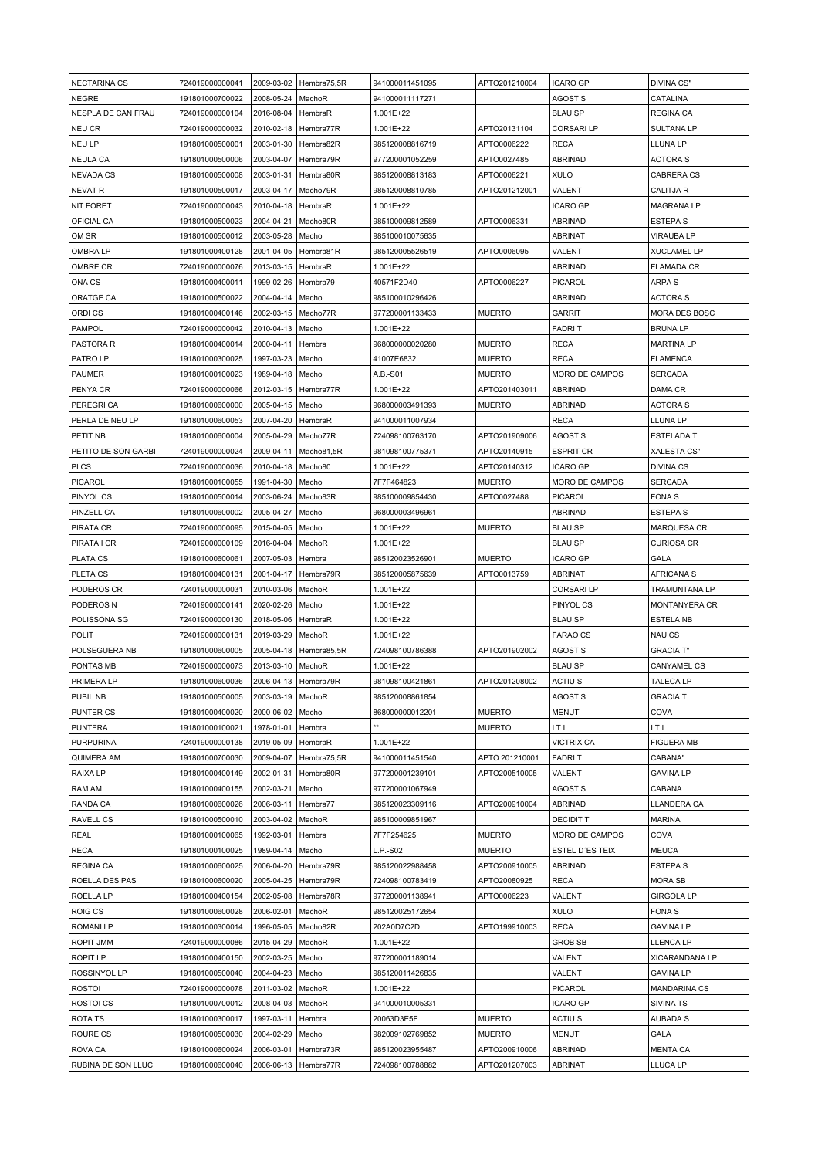| <b>NECTARINA CS</b>           | 724019000000041                    |                          | 2009-03-02   Hembra75,5R | 941000011451095                    | APTO201210004                  | <b>ICARO GP</b>                  | DIVINA CS"                  |
|-------------------------------|------------------------------------|--------------------------|--------------------------|------------------------------------|--------------------------------|----------------------------------|-----------------------------|
| <b>NEGRE</b>                  | 191801000700022                    | 2008-05-24               | MachoR                   | 941000011117271                    |                                | AGOST S                          | CATALINA                    |
| NESPLA DE CAN FRAU            | 724019000000104                    | 2016-08-04               | HembraR                  | 1.001E+22                          |                                | <b>BLAU SP</b>                   | <b>REGINA CA</b>            |
| NEU CR                        | 724019000000032                    | 2010-02-18               | Hembra77R                | 1.001E+22                          | APTO20131104                   | <b>CORSARI LP</b>                | <b>SULTANA LP</b>           |
| NEU LP                        | 191801000500001                    | 2003-01-30               | Hembra82R                | 985120008816719                    | APTO0006222                    | <b>RECA</b>                      | LLUNA LP                    |
| <b>NEULA CA</b>               | 191801000500006                    | 2003-04-07               | Hembra79R                | 977200001052259                    | APTO0027485                    | <b>ABRINAD</b>                   | <b>ACTORA S</b>             |
|                               |                                    |                          |                          |                                    |                                |                                  |                             |
| <b>NEVADA CS</b>              | 191801000500008                    | 2003-01-31               | Hembra80R                | 985120008813183                    | APTO0006221                    | <b>XULO</b>                      | CABRERA CS                  |
| NEVAT R                       | 191801000500017                    | 2003-04-17               | Macho79R                 | 985120008810785                    | APTO201212001                  | VALENT                           | <b>CALITJA R</b>            |
| NIT FORET                     | 724019000000043                    | 2010-04-18               | HembraR                  | 1.001E+22                          |                                | <b>ICARO GP</b>                  | <b>MAGRANA LP</b>           |
| OFICIAL CA                    | 191801000500023                    | 2004-04-21               | Macho80R                 | 985100009812589                    | APTO0006331                    | <b>ABRINAD</b>                   | <b>ESTEPA S</b>             |
| OM SR                         | 191801000500012                    | 2003-05-28               | Macho                    | 985100010075635                    |                                | ABRINAT                          | <b>VIRAUBA LP</b>           |
| OMBRA LP                      | 191801000400128                    | 2001-04-05               | Hembra81R                | 985120005526519                    | APTO0006095                    | VALENT                           | <b>XUCLAMEL LP</b>          |
| OMBRE CR                      | 724019000000076                    | 2013-03-15               | HembraR                  | 1.001E+22                          |                                | <b>ABRINAD</b>                   | <b>FLAMADA CR</b>           |
| ONA CS                        | 191801000400011                    | 1999-02-26               | Hembra79                 | 40571F2D40                         | APTO0006227                    | PICAROL                          | ARPA S                      |
| ORATGE CA                     | 191801000500022                    | 2004-04-14               | Macho                    | 985100010296426                    |                                | <b>ABRINAD</b>                   | <b>ACTORA S</b>             |
| ORDI CS                       | 191801000400146                    | 2002-03-15               | Macho77R                 | 977200001133433                    | <b>MUERTO</b>                  | GARRIT                           | MORA DES BOSC               |
| PAMPOL                        | 724019000000042                    | 2010-04-13               | Macho                    | 1.001E+22                          |                                | <b>FADRIT</b>                    | <b>BRUNALP</b>              |
| PASTORA R                     | 191801000400014                    | 2000-04-11               | Hembra                   | 968000000020280                    | <b>MUERTO</b>                  | RECA                             | <b>MARTINA LP</b>           |
| PATRO LP                      | 191801000300025                    | 1997-03-23               | Macho                    | 41007E6832                         | <b>MUERTO</b>                  | <b>RECA</b>                      | <b>FLAMENCA</b>             |
| PAUMER                        | 191801000100023                    | 1989-04-18               | Macho                    | A.B.-S01                           | <b>MUERTO</b>                  | MORO DE CAMPOS                   | <b>SERCADA</b>              |
| PENYA CR                      | 724019000000066                    | 2012-03-15               | Hembra77R                | 1.001E+22                          | APTO201403011                  | ABRINAD                          | DAMA CR                     |
|                               |                                    |                          |                          |                                    |                                |                                  |                             |
| PEREGRI CA                    | 191801000600000                    | 2005-04-15               | Macho                    | 968000003491393                    | <b>MUERTO</b>                  | <b>ABRINAD</b>                   | <b>ACTORA S</b>             |
| PERLA DE NEU LP               | 191801000600053                    | 2007-04-20               | HembraR                  | 941000011007934                    |                                | <b>RECA</b>                      | LLUNA LP                    |
| PETIT NB                      | 191801000600004                    | 2005-04-29               | Macho77R                 | 724098100763170                    | APTO201909006                  | <b>AGOST S</b>                   | <b>ESTELADA T</b>           |
| PETITO DE SON GARBI           | 724019000000024                    | 2009-04-11               | Macho81,5R               | 981098100775371                    | APTO20140915                   | ESPRIT CR                        | XALESTA CS"                 |
| PI CS                         | 724019000000036                    | 2010-04-18               | Macho <sub>80</sub>      | 1.001E+22                          | APTO20140312                   | <b>ICARO GP</b>                  | <b>DIVINA CS</b>            |
| PICAROL                       | 191801000100055                    | 1991-04-30               | Macho                    | 7F7F464823                         | <b>MUERTO</b>                  | MORO DE CAMPOS                   | <b>SERCADA</b>              |
| PINYOL CS                     | 191801000500014                    | 2003-06-24               | Macho83R                 | 985100009854430                    | APTO0027488                    | PICAROL                          | <b>FONAS</b>                |
| PINZELL CA                    | 191801000600002                    | 2005-04-27               | Macho                    | 968000003496961                    |                                | <b>ABRINAD</b>                   | <b>ESTEPA S</b>             |
| PIRATA CR                     | 724019000000095                    | 2015-04-05               | Macho                    | 1.001E+22                          | <b>MUERTO</b>                  | <b>BLAU SP</b>                   | <b>MARQUESA CR</b>          |
| PIRATA I CR                   | 724019000000109                    | 2016-04-04               | MachoR                   | 1.001E+22                          |                                | <b>BLAU SP</b>                   | <b>CURIOSA CR</b>           |
| PLATA CS                      | 191801000600061                    | 2007-05-03               | Hembra                   | 985120023526901                    | <b>MUERTO</b>                  | ICARO GP                         | GALA                        |
| PLETA CS                      | 191801000400131                    | 2001-04-17               | Hembra79R                | 985120005875639                    | APTO0013759                    | ABRINAT                          | AFRICANA S                  |
| PODEROS CR                    | 724019000000031                    | 2010-03-06               | MachoR                   | 1.001E+22                          |                                | <b>CORSARILP</b>                 | TRAMUNTANA LP               |
| PODEROS N                     | 724019000000141                    | 2020-02-26               | Macho                    | 1.001E+22                          |                                | PINYOL CS                        | <b>MONTANYERA CR</b>        |
|                               |                                    |                          |                          |                                    |                                |                                  |                             |
| POLISSONA SG                  | 724019000000130                    | 2018-05-06               | HembraR                  | 1.001E+22                          |                                | <b>BLAU SP</b>                   | <b>ESTELA NB</b>            |
| POLIT                         | 724019000000131                    | 2019-03-29               | MachoR                   | 1.001E+22                          |                                | FARAO CS                         | NAU CS                      |
| POLSEGUERA NB                 | 191801000600005                    | 2005-04-18               | Hembra85,5R              | 724098100786388                    | APTO201902002                  | AGOST S                          | <b>GRACIA T"</b>            |
| PONTAS MB                     | 724019000000073                    | 2013-03-10               | MachoR                   | 1.001E+22                          |                                | <b>BLAU SP</b>                   | CANYAMEL CS                 |
| PRIMERA LP                    | 191801000600036                    | 2006-04-13               | Hembra79R                | 981098100421861                    | APTO201208002                  | <b>ACTIUS</b>                    | <b>TALECA LP</b>            |
| PUBIL NB                      | 191801000500005                    | 2003-03-19               | MachoR                   | 985120008861854                    |                                | AGOST S                          | <b>GRACIA T</b>             |
| PUNTER CS                     | 191801000400020                    | 2000-06-02               | Macho                    | 868000000012201                    | <b>MUERTO</b>                  | <b>MENUT</b>                     | COVA                        |
| PUNTERA                       | 191801000100021                    | 1978-01-01               | Hembra                   |                                    | <b>MUERTO</b>                  | I.T.I.                           | I.T.I.                      |
| <b>PURPURINA</b>              | 724019000000138                    | 2019-05-09               | HembraR                  | 1.001E+22                          |                                | <b>VICTRIX CA</b>                | <b>FIGUERA MB</b>           |
| QUIMERA AM                    | 191801000700030                    | 2009-04-07               | Hembra75,5R              | 941000011451540                    | APTO 201210001                 | <b>FADRIT</b>                    | CABANA"                     |
| <b>RAIXA LP</b>               | 191801000400149                    | 2002-01-31               | Hembra80R                | 977200001239101                    | APTO200510005                  | VALENT                           | <b>GAVINA LP</b>            |
| RAM AM                        | 191801000400155                    | 2002-03-21               | Macho                    | 977200001067949                    |                                | <b>AGOST S</b>                   | CABANA                      |
| RANDA CA                      | 191801000600026                    | 2006-03-11               | Hembra77                 | 985120023309116                    | APTO200910004                  | <b>ABRINAD</b>                   | LLANDERA CA                 |
| <b>RAVELL CS</b>              | 191801000500010                    | 2003-04-02               | MachoR                   | 985100009851967                    |                                | <b>DECIDIT T</b>                 | <b>MARINA</b>               |
| <b>REAL</b>                   | 191801000100065                    | 1992-03-01               | Hembra                   | 7F7F254625                         | <b>MUERTO</b>                  | MORO DE CAMPOS                   | COVA                        |
| RECA                          | 191801000100025                    | 1989-04-14               |                          | L.P.-S02                           | <b>MUERTO</b>                  | ESTEL D'ES TEIX                  | <b>MEUCA</b>                |
|                               |                                    |                          | Macho                    |                                    |                                |                                  |                             |
| <b>REGINA CA</b>              | 191801000600025                    | 2006-04-20               | Hembra79R                | 985120022988458                    | APTO200910005                  | <b>ABRINAD</b>                   | <b>ESTEPAS</b>              |
| ROELLA DES PAS                |                                    |                          |                          |                                    |                                |                                  |                             |
| ROELLA LP                     | 191801000600020                    | 2005-04-25               | Hembra79R                | 724098100783419                    | APTO20080925                   | RECA                             | <b>MORA SB</b>              |
| ROIG CS                       | 191801000400154                    | 2002-05-08               | Hembra78R                | 977200001138941                    | APTO0006223                    | VALENT                           | <b>GIRGOLA LP</b>           |
|                               | 191801000600028                    | 2006-02-01               | MachoR                   | 985120025172654                    |                                | <b>XULO</b>                      | <b>FONAS</b>                |
| <b>ROMANILP</b>               | 191801000300014                    | 1996-05-05               | Macho82R                 | 202A0D7C2D                         | APTO199910003                  | <b>RECA</b>                      | <b>GAVINA LP</b>            |
| ROPIT JMM                     | 724019000000086                    | 2015-04-29               | MachoR                   | 1.001E+22                          |                                | <b>GROB SB</b>                   | LLENCA LP                   |
| ROPIT LP                      | 191801000400150                    | 2002-03-25               | Macho                    | 977200001189014                    |                                | VALENT                           | XICARANDANA LP              |
| ROSSINYOL LP                  | 191801000500040                    | 2004-04-23               | Macho                    | 985120011426835                    |                                | VALENT                           | <b>GAVINA LP</b>            |
| <b>ROSTOI</b>                 | 724019000000078                    | 2011-03-02               | MachoR                   | 1.001E+22                          |                                | PICAROL                          | <b>MANDARINA CS</b>         |
| <b>ROSTOICS</b>               | 191801000700012                    | 2008-04-03               | MachoR                   | 941000010005331                    |                                | ICARO GP                         | <b>SIVINA TS</b>            |
| ROTA TS                       | 191801000300017                    | 1997-03-11               | Hembra                   | 20063D3E5F                         | <b>MUERTO</b>                  | ACTIU <sub>S</sub>               | <b>AUBADAS</b>              |
|                               |                                    |                          | Macho                    | 982009102769852                    | <b>MUERTO</b>                  |                                  | GALA                        |
| ROURE CS                      | 191801000500030                    | 2004-02-29               |                          |                                    |                                | MENUT                            |                             |
| ROVA CA<br>RUBINA DE SON LLUC | 191801000600024<br>191801000600040 | 2006-03-01<br>2006-06-13 | Hembra73R<br>Hembra77R   | 985120023955487<br>724098100788882 | APTO200910006<br>APTO201207003 | <b>ABRINAD</b><br><b>ABRINAT</b> | <b>MENTA CA</b><br>LLUCA LP |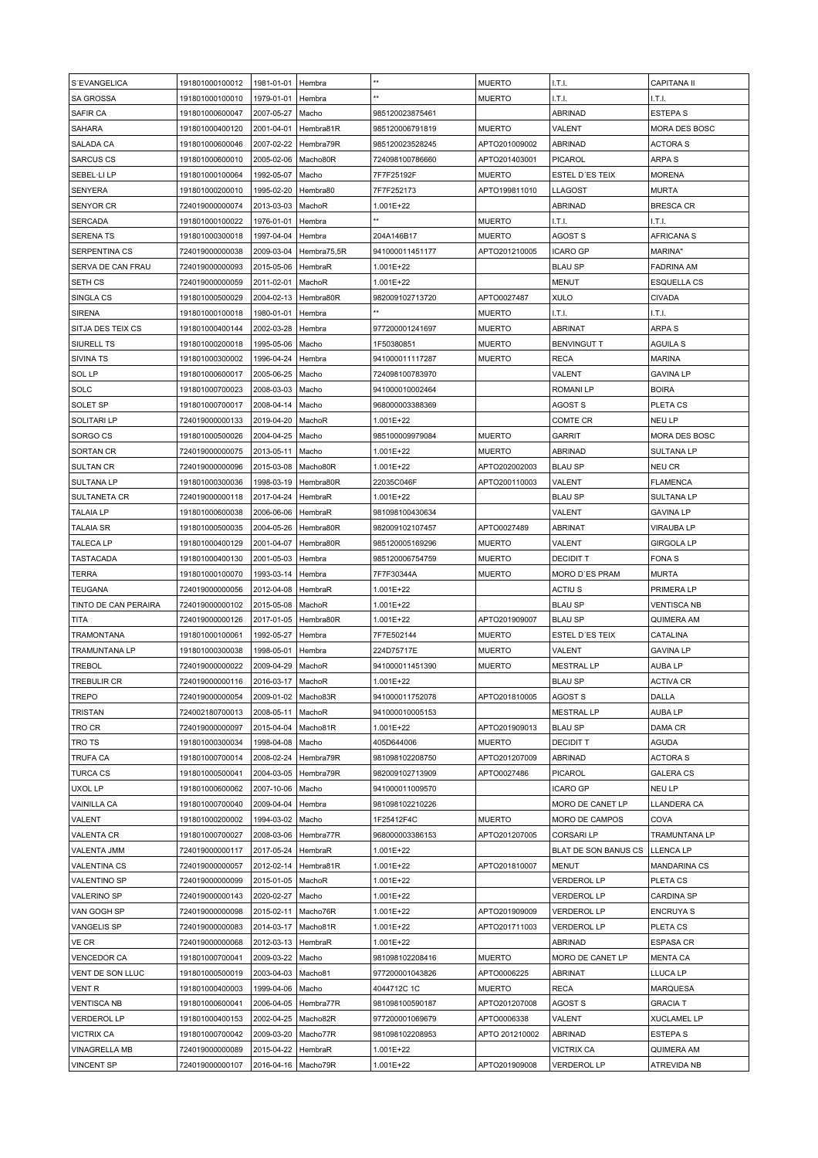| S'EVANGELICA         | 191801000100012 | 1981-01-01            | Hembra      | $\star\star$    | <b>MUERTO</b>  | I.T.I.               | <b>CAPITANA II</b>   |
|----------------------|-----------------|-----------------------|-------------|-----------------|----------------|----------------------|----------------------|
|                      |                 |                       |             | **              |                |                      |                      |
| <b>SA GROSSA</b>     | 191801000100010 | 1979-01-01            | Hembra      |                 | <b>MUERTO</b>  | I.T.I.               | I.T.I.               |
| SAFIR CA             | 191801000600047 | 2007-05-27            | Macho       | 985120023875461 |                | <b>ABRINAD</b>       | <b>ESTEPAS</b>       |
| <b>SAHARA</b>        | 191801000400120 | 2001-04-01            | Hembra81R   | 985120006791819 | <b>MUERTO</b>  | VALENT               | MORA DES BOSC        |
| SALADA CA            | 191801000600046 | 2007-02-22            | Hembra79R   | 985120023528245 | APTO201009002  | <b>ABRINAD</b>       | <b>ACTORA S</b>      |
| <b>SARCUS CS</b>     | 191801000600010 | 2005-02-06            | Macho80R    | 724098100786660 | APTO201403001  | <b>PICAROL</b>       | <b>ARPA S</b>        |
| SEBEL·LI LP          | 191801000100064 | 1992-05-07            | Macho       | 7F7F25192F      | <b>MUERTO</b>  | ESTEL D'ES TEIX      | <b>MORENA</b>        |
| SENYERA              | 191801000200010 | 1995-02-20            | Hembra80    | 7F7F252173      | APTO199811010  | LLAGOST              | <b>MURTA</b>         |
|                      |                 |                       |             |                 |                |                      |                      |
| SENYOR CR            | 724019000000074 | 2013-03-03            | MachoR      | 1.001E+22       |                | <b>ABRINAD</b>       | <b>BRESCA CR</b>     |
| <b>SERCADA</b>       | 191801000100022 | 1976-01-01            | Hembra      |                 | <b>MUERTO</b>  | I.T.I.               | I.T.I.               |
| <b>SERENA TS</b>     | 191801000300018 | 1997-04-04            | Hembra      | 204A146B17      | <b>MUERTO</b>  | <b>AGOST S</b>       | <b>AFRICANA S</b>    |
| <b>SERPENTINA CS</b> | 724019000000038 | 2009-03-04            | Hembra75,5R | 941000011451177 | APTO201210005  | <b>ICARO GP</b>      | MARINA"              |
| SERVA DE CAN FRAU    | 724019000000093 | 2015-05-06            | HembraR     | 1.001E+22       |                | <b>BLAU SP</b>       | <b>FADRINA AM</b>    |
| SETH CS              | 724019000000059 | 2011-02-01            | MachoR      | 1.001E+22       |                | MENUT                | <b>ESQUELLA CS</b>   |
| SINGLA CS            | 191801000500029 | 2004-02-13            | Hembra80R   | 982009102713720 | APTO0027487    | <b>XULO</b>          | <b>CIVADA</b>        |
| SIRENA               | 191801000100018 | 1980-01-01            | Hembra      |                 | <b>MUERTO</b>  | I.T.I.               | LT.L                 |
|                      |                 |                       |             |                 |                |                      |                      |
| SITJA DES TEIX CS    | 191801000400144 | 2002-03-28            | Hembra      | 977200001241697 | <b>MUERTO</b>  | ABRINAT              | ARPA S               |
| SIURELL TS           | 191801000200018 | 1995-05-06            | Macho       | 1F50380851      | <b>MUERTO</b>  | <b>BENVINGUT T</b>   | <b>AGUILA S</b>      |
| SIVINA TS            | 191801000300002 | 1996-04-24            | Hembra      | 941000011117287 | <b>MUERTO</b>  | <b>RECA</b>          | <b>MARINA</b>        |
| <b>SOL LP</b>        | 191801000600017 | 2005-06-25            | Macho       | 724098100783970 |                | VALENT               | <b>GAVINA LP</b>     |
| SOLC                 | 191801000700023 | 2008-03-03            | Macho       | 941000010002464 |                | ROMANI LP            | <b>BOIRA</b>         |
| SOLET SP             | 191801000700017 | 2008-04-14            | Macho       | 968000003388369 |                | <b>AGOST S</b>       | PLETA CS             |
| <b>SOLITARI LP</b>   | 724019000000133 | 2019-04-20            | MachoR      | 1.001E+22       |                | COMTE CR             | NEU LP               |
| SORGO CS             |                 | 2004-04-25            | Macho       | 985100009979084 |                |                      | <b>MORA DES BOSC</b> |
|                      | 191801000500026 |                       |             |                 | <b>MUERTO</b>  | <b>GARRIT</b>        |                      |
| SORTAN CR            | 724019000000075 | 2013-05-11            | Macho       | 1.001E+22       | <b>MUERTO</b>  | <b>ABRINAD</b>       | <b>SULTANA LP</b>    |
| <b>SULTAN CR</b>     | 724019000000096 | 2015-03-08            | Macho80R    | 1.001E+22       | APTO202002003  | <b>BLAU SP</b>       | NEU CR               |
| <b>SULTANA LP</b>    | 191801000300036 | 1998-03-19            | Hembra80R   | 22035C046F      | APTO200110003  | VALENT               | <b>FLAMENCA</b>      |
| <b>SULTANETA CR</b>  | 724019000000118 | 2017-04-24            | HembraR     | 1.001E+22       |                | <b>BLAU SP</b>       | <b>SULTANA LP</b>    |
| <b>TALAIA LP</b>     | 191801000600038 | 2006-06-06            | HembraR     | 981098100430634 |                | VALENT               | <b>GAVINA LP</b>     |
| <b>TALAIA SR</b>     | 191801000500035 | 2004-05-26            | Hembra80R   | 982009102107457 | APTO0027489    | ABRINAT              | <b>VIRAUBA LP</b>    |
| <b>TALECA LP</b>     | 191801000400129 | 2001-04-07            | Hembra80R   | 985120005169296 | <b>MUERTO</b>  | VALENT               | <b>GIRGOLA LP</b>    |
| <b>TASTACADA</b>     | 191801000400130 | 2001-05-03            | Hembra      | 985120006754759 | <b>MUERTO</b>  | <b>DECIDIT T</b>     | <b>FONAS</b>         |
|                      |                 |                       |             |                 |                |                      |                      |
| TERRA                | 191801000100070 | 1993-03-14            | Hembra      | 7F7F30344A      | <b>MUERTO</b>  | MORO D'ES PRAM       | <b>MURTA</b>         |
| <b>TEUGANA</b>       | 724019000000056 | 2012-04-08            | HembraR     | 1.001E+22       |                | ACTIU <sub>S</sub>   | PRIMERA LP           |
| TINTO DE CAN PERAIRA | 724019000000102 | 2015-05-08            | MachoR      | 1.001E+22       |                | <b>BLAU SP</b>       | <b>VENTISCA NB</b>   |
| TITA                 | 724019000000126 | 2017-01-05            | Hembra80R   | 1.001E+22       | APTO201909007  | <b>BLAU SP</b>       | QUIMERA AM           |
| TRAMONTANA           | 191801000100061 | 1992-05-27            | Hembra      | 7F7E502144      | <b>MUERTO</b>  | ESTEL D'ES TEIX      | CATALINA             |
| TRAMUNTANA LP        | 191801000300038 | 1998-05-01            | Hembra      | 224D75717E      | <b>MUERTO</b>  | VALENT               | <b>GAVINA LP</b>     |
| TREBOL               | 724019000000022 | 2009-04-29            | MachoR      | 941000011451390 | <b>MUERTO</b>  | <b>MESTRAL LP</b>    | AUBA LP              |
| <b>TREBULIR CR</b>   | 724019000000116 | 2016-03-17            | MachoR      | 1.001E+22       |                | <b>BLAU SP</b>       | <b>ACTIVA CR</b>     |
|                      |                 |                       |             |                 |                | <b>AGOST S</b>       | DALLA                |
| <b>TREPO</b>         | 724019000000054 | 2009-01-02   Macho83R |             | 941000011752078 | APTO201810005  |                      |                      |
| <b>TRISTAN</b>       | 724002180700013 | 2008-05-11            | MachoR      | 941000010005153 |                | <b>MESTRAL LP</b>    | <b>AUBALP</b>        |
| TRO CR               | 724019000000097 | 2015-04-04            | Macho81R    | 1.001E+22       | APTO201909013  | <b>BLAU SP</b>       | DAMA CR              |
| TRO TS               | 191801000300034 | 1998-04-08            | Macho       | 405D644006      | <b>MUERTO</b>  | <b>DECIDIT T</b>     | AGUDA                |
| TRUFA CA             | 191801000700014 | 2008-02-24            | Hembra79R   | 981098102208750 | APTO201207009  | <b>ABRINAD</b>       | <b>ACTORA S</b>      |
| <b>TURCA CS</b>      | 191801000500041 | 2004-03-05            | Hembra79R   | 982009102713909 | APTO0027486    | PICAROL              | GALERA CS            |
| UXOL LP              | 191801000600062 | 2007-10-06            | Macho       | 941000011009570 |                | <b>ICARO GP</b>      | <b>NEU LP</b>        |
| <b>VAINILLA CA</b>   | 191801000700040 | 2009-04-04            | Hembra      | 981098102210226 |                | MORO DE CANET LP     | LLANDERA CA          |
| VALENT               | 191801000200002 | 1994-03-02            | Macho       | 1F25412F4C      | <b>MUERTO</b>  | MORO DE CAMPOS       | COVA                 |
|                      |                 |                       |             |                 |                |                      |                      |
| VALENTA CR           | 191801000700027 | 2008-03-06            | Hembra77R   | 968000003386153 | APTO201207005  | CORSARI LP           | TRAMUNTANA LP        |
| VALENTA JMM          | 724019000000117 | 2017-05-24            | HembraR     | 1.001E+22       |                | BLAT DE SON BANUS CS | <b>LLENCA LP</b>     |
| <b>VALENTINA CS</b>  | 724019000000057 | 2012-02-14            | Hembra81R   | 1.001E+22       | APTO201810007  | MENUT                | <b>MANDARINA CS</b>  |
| VALENTINO SP         | 724019000000099 | 2015-01-05            | MachoR      | 1.001E+22       |                | <b>VERDEROL LP</b>   | PLETA CS             |
| <b>VALERINO SP</b>   | 724019000000143 | 2020-02-27            | Macho       | 1.001E+22       |                | <b>VERDEROL LP</b>   | <b>CARDINA SP</b>    |
| VAN GOGH SP          | 724019000000098 | 2015-02-11            | Macho76R    | 1.001E+22       | APTO201909009  | <b>VERDEROL LP</b>   | <b>ENCRUYA S</b>     |
| <b>VANGELIS SP</b>   | 724019000000083 | 2014-03-17            | Macho81R    | 1.001E+22       | APTO201711003  | <b>VERDEROL LP</b>   | PLETA CS             |
| VE CR                | 724019000000068 | 2012-03-13            | HembraR     | 1.001E+22       |                | <b>ABRINAD</b>       | ESPASA CR            |
|                      |                 |                       |             |                 |                |                      |                      |
| <b>VENCEDOR CA</b>   | 191801000700041 | 2009-03-22            | Macho       | 981098102208416 | <b>MUERTO</b>  | MORO DE CANET LP     | <b>MENTA CA</b>      |
| VENT DE SON LLUC     | 191801000500019 | 2003-04-03            | Macho81     | 977200001043826 | APTO0006225    | <b>ABRINAT</b>       | LLUCA LP             |
| vent r               | 191801000400003 | 1999-04-06            | Macho       | 4044712C 1C     | <b>MUERTO</b>  | <b>RECA</b>          | <b>MARQUESA</b>      |
| <b>VENTISCA NB</b>   | 191801000600041 | 2006-04-05            | Hembra77R   | 981098100590187 | APTO201207008  | <b>AGOST S</b>       | <b>GRACIA T</b>      |
| <b>VERDEROL LP</b>   | 191801000400153 | 2002-04-25            | Macho82R    | 977200001069679 | APTO0006338    | VALENT               | <b>XUCLAMEL LP</b>   |
| <b>VICTRIX CA</b>    | 191801000700042 | 2009-03-20            | Macho77R    | 981098102208953 | APTO 201210002 | <b>ABRINAD</b>       | <b>ESTEPAS</b>       |
| VINAGRELLA MB        | 724019000000089 | 2015-04-22            | HembraR     | 1.001E+22       |                | <b>VICTRIX CA</b>    | QUIMERA AM           |
| <b>VINCENT SP</b>    | 724019000000107 | 2016-04-16            | Macho79R    | 1.001E+22       | APTO201909008  | <b>VERDEROL LP</b>   | ATREVIDA NB          |
|                      |                 |                       |             |                 |                |                      |                      |